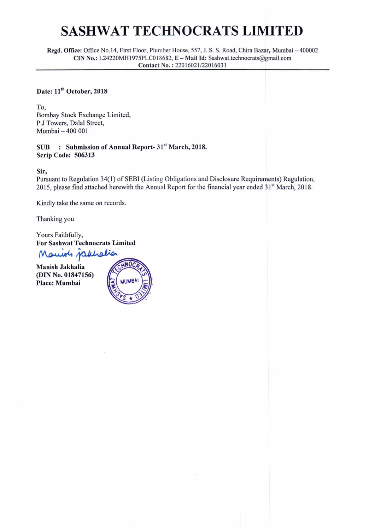Regd. Office: Office No.14, First Floor, Plumber House, 557, J. S. S. Road, Chira Bazar, Mumbai - 400002 CIN No.: L24220MH1975PLC018682, E-Mail Id: Sashwat.technocrats@gmail.com Contact No. : 22016021/22016031

## Date: 11<sup>th</sup> October, 2018

To, Bombay Stock Exchange Limited, P.J Towers, Dalal Street, Mumbai - 400 001

#### SUB : Submission of Annual Report- 31<sup>st</sup> March, 2018. Scrip Code: 506313

Sir,

Pursuant to Regulation 34(1) of SEBI (Listing Obligations and Disclosure Requirements) Regulation, 2015, please find attached herewith the Annual Report for the financial year ended 31<sup>st</sup> March, 2018.

Kindly take the same on records.

Thanking you

Yours Faithfully, **For Sashwat Technocrats Limited** 

Mariots jakholia

**Manish Jakhalia** (DIN No. 01847156) **Place: Mumbai** 

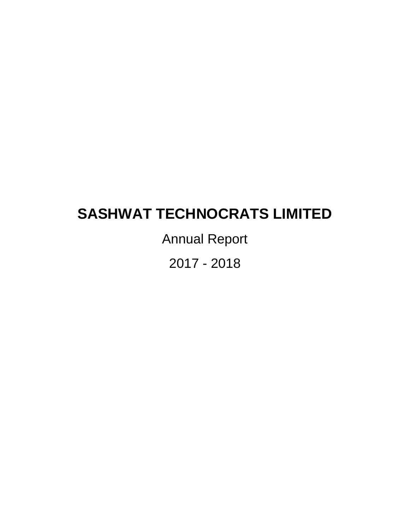Annual Report

2017 - 2018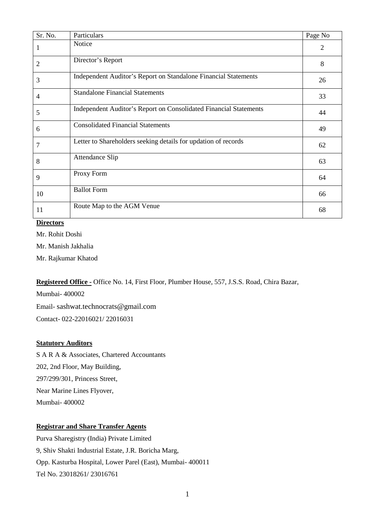| Sr. No. | Particulars                                                       | Page No |
|---------|-------------------------------------------------------------------|---------|
|         | Notice                                                            | 2       |
| 2       | Director's Report                                                 | 8       |
| 3       | Independent Auditor's Report on Standalone Financial Statements   | 26      |
| 4       | <b>Standalone Financial Statements</b>                            | 33      |
| 5       | Independent Auditor's Report on Consolidated Financial Statements | 44      |
| 6       | <b>Consolidated Financial Statements</b>                          | 49      |
| 7       | Letter to Shareholders seeking details for updation of records    | 62      |
| 8       | Attendance Slip                                                   | 63      |
| 9       | Proxy Form                                                        | 64      |
| 10      | <b>Ballot Form</b>                                                | 66      |
| 11      | Route Map to the AGM Venue                                        | 68      |

#### **Directors**

Mr. Rohit Doshi

Mr. Manish Jakhalia

Mr. Rajkumar Khatod

#### Registered Office - Office No. 14, First Floor, Plumber House, 557, J.S.S. Road, Chira Bazar,

Mumbai- 400002 Email- [sashwat.technocrats@gmail.com](mailto:sashwat.technocrats@gmail.com) Contact- 022-22016021/ 22016031

#### **Statutory Auditors**

S A R A & Associates, Chartered Accountants 202, 2nd Floor, May Building, 297/299/301, Princess Street, Near Marine Lines Flyover, Mumbai- 400002

### **Registrar and Share Transfer Agents**

Purva Sharegistry (India) Private Limited 9, Shiv Shakti Industrial Estate, J.R. Boricha Marg, Opp. Kasturba Hospital, Lower Parel (East), Mumbai- 400011 Tel No. 23018261/ 23016761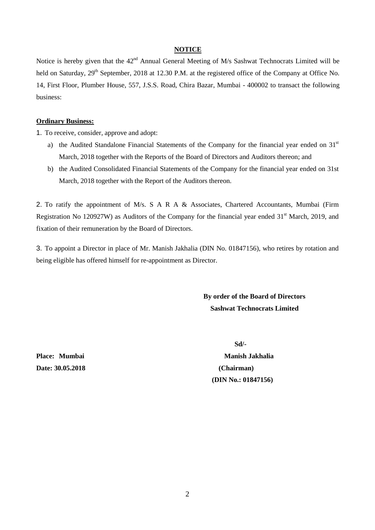#### **NOTICE**

Notice is hereby given that the 42<sup>nd</sup> Annual General Meeting of M/s Sashwat Technocrats Limited will be held on Saturday, 29<sup>th</sup> September, 2018 at 12.30 P.M. at the registered office of the Company at Office No. 14, First Floor, Plumber House, 557, J.S.S. Road, Chira Bazar, Mumbai - 400002 to transact the following business:

#### **Ordinary Business:**

1. To receive, consider, approve and adopt:

- a) the Audited Standalone Financial Statements of the Company for the financial year ended on 31<sup>st</sup> March, 2018 together with the Reports of the Board of Directors and Auditors thereon; and
- b) the Audited Consolidated Financial Statements of the Company for the financial year ended on 31st March, 2018 together with the Report of the Auditors thereon.

2. To ratify the appointment of M/s. S A R A & Associates, Chartered Accountants, Mumbai (Firm Registration No 120927W) as Auditors of the Company for the financial year ended 31<sup>st</sup> March, 2019, and fixation of their remuneration by the Board of Directors.

3. To appoint a Director in place of Mr. Manish Jakhalia (DIN No. 01847156), who retires by rotation and being eligible has offered himself for re-appointment as Director.

> **By order of the Board of Directors Sashwat Technocrats Limited**

**Date: 30.05.2018 (Chairman)**

 **Sd/-**

**Place:** Mumbai Manish Jakhalia  **(DIN No.: 01847156)**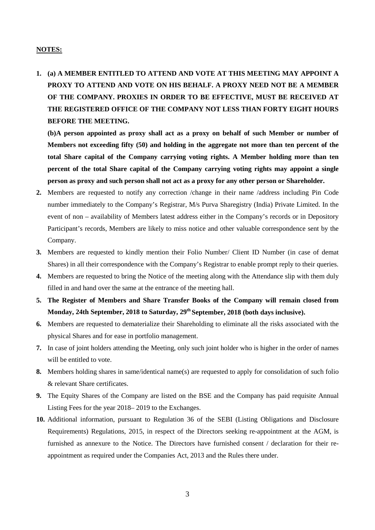#### **NOTES:**

**1. (a) A MEMBER ENTITLED TO ATTEND AND VOTE AT THIS MEETING MAY APPOINT A PROXY TO ATTEND AND VOTE ON HIS BEHALF. A PROXY NEED NOT BE A MEMBER OF THE COMPANY. PROXIES IN ORDER TO BE EFFECTIVE, MUST BE RECEIVED AT THE REGISTERED OFFICE OF THE COMPANY NOT LESS THAN FORTY EIGHT HOURS BEFORE THE MEETING.**

**(b)A person appointed as proxy shall act as a proxy on behalf of such Member or number of Members not exceeding fifty (50) and holding in the aggregate not more than ten percent of the total Share capital of the Company carrying voting rights. A Member holding more than ten percent of the total Share capital of the Company carrying voting rights may appoint a single person as proxy and such person shall not act as a proxy for any other person or Shareholder.**

- **2.** Members are requested to notify any correction /change in their name /address including Pin Code number immediately to the Company's Registrar, M/s Purva Sharegistry (India) Private Limited. In the event of non – availability of Members latest address either in the Company's records or in Depository Participant's records, Members are likely to miss notice and other valuable correspondence sent by the Company.
- **3.** Members are requested to kindly mention their Folio Number/ Client ID Number (in case of demat Shares) in all their correspondence with the Company's Registrar to enable prompt reply to their queries.
- **4.** Members are requested to bring the Notice of the meeting along with the Attendance slip with them duly filled in and hand over the same at the entrance of the meeting hall.
- **5. The Register of Members and Share Transfer Books of the Company will remain closed from Monday, 24th September, 2018 to Saturday, 29th September, 2018 (both days inclusive).**
- **6.** Members are requested to dematerialize their Shareholding to eliminate all the risks associated with the physical Shares and for ease in portfolio management.
- **7.** In case of joint holders attending the Meeting, only such joint holder who is higher in the order of names will be entitled to vote.
- **8.** Members holding shares in same/identical name(s) are requested to apply for consolidation of such folio & relevant Share certificates.
- **9.** The Equity Shares of the Company are listed on the BSE and the Company has paid requisite Annual Listing Fees for the year 2018– 2019 to the Exchanges.
- **10.** Additional information, pursuant to Regulation 36 of the SEBI (Listing Obligations and Disclosure Requirements) Regulations, 2015, in respect of the Directors seeking re-appointment at the AGM, is furnished as annexure to the Notice. The Directors have furnished consent / declaration for their reappointment as required under the Companies Act, 2013 and the Rules there under.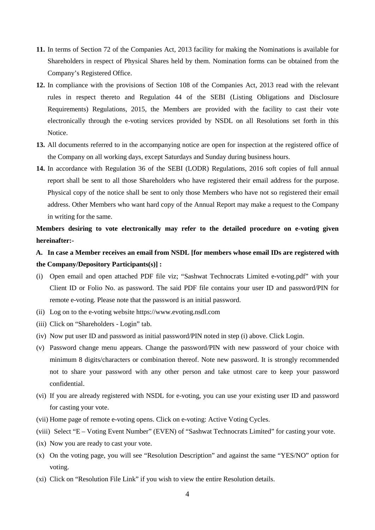- **11.** In terms of Section 72 of the Companies Act, 2013 facility for making the Nominations is available for Shareholders in respect of Physical Shares held by them. Nomination forms can be obtained from the Company's Registered Office.
- **12.** In compliance with the provisions of Section 108 of the Companies Act, 2013 read with the relevant rules in respect thereto and Regulation 44 of the SEBI (Listing Obligations and Disclosure Requirements) Regulations, 2015, the Members are provided with the facility to cast their vote electronically through the e-voting services provided by NSDL on all Resolutions set forth in this Notice.
- **13.** All documents referred to in the accompanying notice are open for inspection at the registered office of the Company on all working days, except Saturdays and Sunday during business hours.
- **14.** In accordance with Regulation 36 of the SEBI (LODR) Regulations, 2016 soft copies of full annual report shall be sent to all those Shareholders who have registered their email address for the purpose. Physical copy of the notice shall be sent to only those Members who have not so registered their email address. Other Members who want hard copy of the Annual Report may make a request to the Company in writing for the same.

**Members desiring to vote electronically may refer to the detailed procedure on e-voting given hereinafter:-**

- **A. In case a Member receives an email from NSDL [for members whose email IDs are registered with the Company/Depository Participants(s)] :**
- (i) Open email and open attached PDF file viz; "Sashwat Technocrats Limited e-voting.pdf" with your Client ID or Folio No. as password. The said PDF file contains your user ID and password/PIN for remote e-voting. Please note that the password is an initial password.
- (ii) Log on to the e-voting website https://www.evoting.nsdl.com
- (iii) Click on "Shareholders Login" tab.
- (iv) Now put user ID and password as initial password/PIN noted in step (i) above. Click Login.
- (v) Password change menu appears. Change the password/PIN with new password of your choice with minimum 8 digits/characters or combination thereof. Note new password. It is strongly recommended not to share your password with any other person and take utmost care to keep your password confidential.
- (vi) If you are already registered with NSDL for e-voting, you can use your existing user ID and password for casting your vote.
- (vii) Home page of remote e-voting opens. Click on e-voting: Active Voting Cycles.
- (viii) Select "E Voting Event Number" (EVEN) of "Sashwat Technocrats Limited" for casting your vote.
- (ix) Now you are ready to cast your vote.
- (x) On the voting page, you will see "Resolution Description" and against the same "YES/NO" option for voting.
- (xi) Click on "Resolution File Link" if you wish to view the entire Resolution details.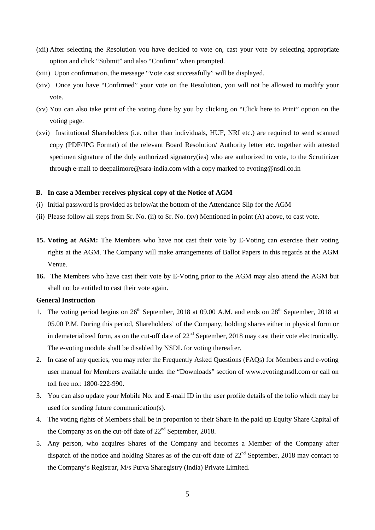- (xii) After selecting the Resolution you have decided to vote on, cast your vote by selecting appropriate option and click "Submit" and also "Confirm" when prompted.
- (xiii) Upon confirmation, the message "Vote cast successfully" will be displayed.
- (xiv) Once you have "Confirmed" your vote on the Resolution, you will not be allowed to modify your vote.
- (xv) You can also take print of the voting done by you by clicking on "Click here to Print" option on the voting page.
- (xvi) Institutional Shareholders (i.e. other than individuals, HUF, NRI etc.) are required to send scanned copy (PDF/JPG Format) of the relevant Board Resolution/ Authority letter etc. together with attested specimen signature of the duly authorized signatory(ies) who are authorized to vote, to the Scrutinizer through e-mail to deepalimore@sara-india.com with a copy marked to [evoting@nsdl.co.in](mailto:evoting@nsdl.co.in)

#### **B. In case a Member receives physical copy of the Notice of AGM**

- (i) Initial password is provided as below/at the bottom of the Attendance Slip for the AGM
- (ii) Please follow all steps from Sr. No. (ii) to Sr. No. (xv) Mentioned in point (A) above, to cast vote.
- **15. Voting at AGM:** The Members who have not cast their vote by E-Voting can exercise their voting rights at the AGM. The Company will make arrangements of Ballot Papers in this regards at the AGM Venue.
- **16.** The Members who have cast their vote by E-Voting prior to the AGM may also attend the AGM but shall not be entitled to cast their vote again.

#### **General Instruction**

- 1. The voting period begins on  $26<sup>th</sup>$  September, 2018 at 09.00 A.M. and ends on  $28<sup>th</sup>$  September, 2018 at 05.00 P.M. During this period, Shareholders' of the Company, holding shares either in physical form or in dematerialized form, as on the cut-off date of  $22<sup>nd</sup>$  September, 2018 may cast their vote electronically. The e-voting module shall be disabled by NSDL for voting thereafter.
- 2. In case of any queries, you may refer the Frequently Asked Questions (FAQs) for Members and e-voting user manual for Members available under the "Downloads" section of [www.evoting.nsdl.com](http://www.evoting.nsdl.com/) or call on toll free no.: 1800-222-990.
- 3. You can also update your Mobile No. and E-mail ID in the user profile details of the folio which may be used for sending future communication(s).
- 4. The voting rights of Members shall be in proportion to their Share in the paid up Equity Share Capital of the Company as on the cut-off date of  $22<sup>nd</sup>$  September, 2018.
- 5. Any person, who acquires Shares of the Company and becomes a Member of the Company after dispatch of the notice and holding Shares as of the cut-off date of  $22<sup>nd</sup>$  September, 2018 may contact to the Company's Registrar, M/s Purva Sharegistry (India) Private Limited.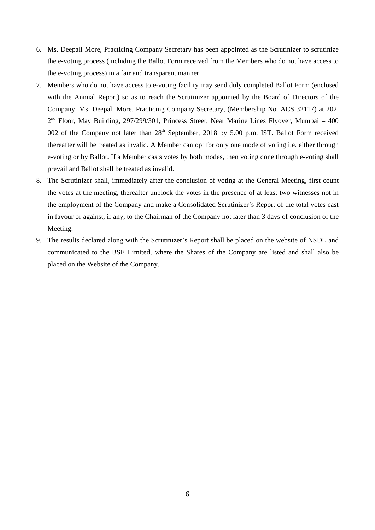- 6. Ms. Deepali More, Practicing Company Secretary has been appointed as the Scrutinizer to scrutinize the e-voting process (including the Ballot Form received from the Members who do not have access to the e-voting process) in a fair and transparent manner.
- 7. Members who do not have access to e-voting facility may send duly completed Ballot Form (enclosed with the Annual Report) so as to reach the Scrutinizer appointed by the Board of Directors of the Company, Ms. Deepali More, Practicing Company Secretary, (Membership No. ACS 32117) at 202,  $2<sup>nd</sup>$  Floor, May Building, 297/299/301, Princess Street, Near Marine Lines Flyover, Mumbai – 400 002 of the Company not later than 28<sup>th</sup> September, 2018 by 5.00 p.m. IST. Ballot Form received thereafter will be treated as invalid. A Member can opt for only one mode of voting i.e. either through e-voting or by Ballot. If a Member casts votes by both modes, then voting done through e-voting shall prevail and Ballot shall be treated as invalid.
- 8. The Scrutinizer shall, immediately after the conclusion of voting at the General Meeting, first count the votes at the meeting, thereafter unblock the votes in the presence of at least two witnesses not in the employment of the Company and make a Consolidated Scrutinizer's Report of the total votes cast in favour or against, if any, to the Chairman of the Company not later than 3 days of conclusion of the Meeting.
- 9. The results declared along with the Scrutinizer's Report shall be placed on the website of NSDL and communicated to the BSE Limited, where the Shares of the Company are listed and shall also be placed on the Website of the Company.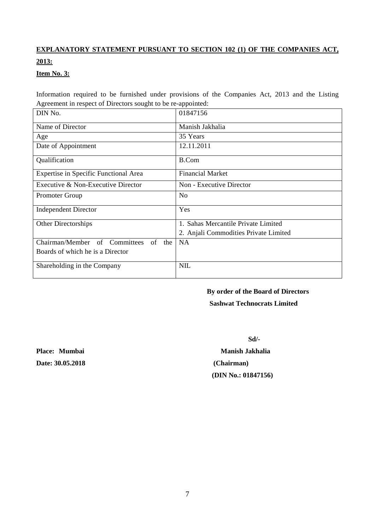## **EXPLANATORY STATEMENT PURSUANT TO SECTION 102 (1) OF THE COMPANIES ACT, 2013:**

#### **Item No. 3:**

Information required to be furnished under provisions of the Companies Act, 2013 and the Listing Agreement in respect of Directors sought to be re-appointed:

| DIN No.                                 | 01847156                              |
|-----------------------------------------|---------------------------------------|
| Name of Director                        | Manish Jakhalia                       |
| Age                                     | 35 Years                              |
| Date of Appointment                     | 12.11.2011                            |
| Qualification                           | <b>B.Com</b>                          |
| Expertise in Specific Functional Area   | <b>Financial Market</b>               |
| Executive & Non-Executive Director      | Non - Executive Director              |
| Promoter Group                          | <b>No</b>                             |
| <b>Independent Director</b>             | Yes                                   |
| Other Directorships                     | 1. Sahas Mercantile Private Limited   |
|                                         | 2. Anjali Commodities Private Limited |
| Chairman/Member of Committees<br>of the | <b>NA</b>                             |
| Boards of which he is a Director        |                                       |
| Shareholding in the Company             | <b>NIL</b>                            |

## **By order of the Board of Directors**

 **Sashwat Technocrats Limited**

**Date: 30.05.2018 (Chairman)**

 **Sd/-**

**Place:** Mumbai Manish Jakhalia  **(DIN No.: 01847156)**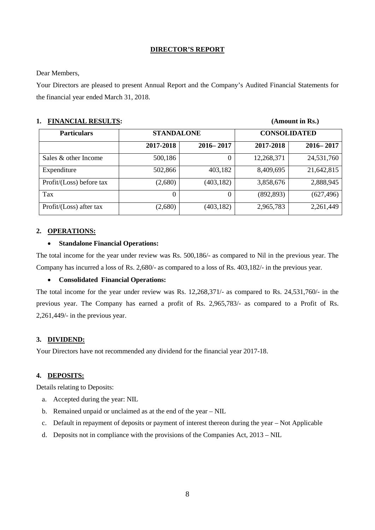#### **DIRECTOR'S REPORT**

#### Dear Members,

Your Directors are pleased to present Annual Report and the Company's Audited Financial Statements for the financial year ended March 31, 2018.

| <b>FINANCIAL RESULTS:</b> |  |
|---------------------------|--|
|---------------------------|--|

| <b>FINANCIAL RESULTS:</b> |           |                   |            | (Amount in Rs.)     |  |
|---------------------------|-----------|-------------------|------------|---------------------|--|
| <b>Particulars</b>        |           | <b>STANDALONE</b> |            | <b>CONSOLIDATED</b> |  |
|                           | 2017-2018 | $2016 - 2017$     | 2017-2018  | $2016 - 2017$       |  |
| Sales & other Income      | 500,186   | 0                 | 12,268,371 | 24,531,760          |  |
| Expenditure               | 502,866   | 403,182           | 8,409,695  | 21,642,815          |  |
| Profit/(Loss) before tax  | (2,680)   | (403, 182)        | 3,858,676  | 2,888,945           |  |
| Tax                       | 0         | 0                 | (892, 893) | (627, 496)          |  |
| Profit/(Loss) after tax   | (2,680)   | (403, 182)        | 2,965,783  | 2,261,449           |  |

#### **2. OPERATIONS:**

#### • **Standalone Financial Operations:**

The total income for the year under review was Rs. 500,186/- as compared to Nil in the previous year. The Company has incurred a loss of Rs. 2,680/- as compared to a loss of Rs. 403,182/- in the previous year.

#### • **Consolidated Financial Operations:**

The total income for the year under review was Rs. 12,268,371/- as compared to Rs. 24,531,760/- in the previous year. The Company has earned a profit of Rs. 2,965,783/- as compared to a Profit of Rs. 2,261,449/- in the previous year.

#### **3. DIVIDEND:**

Your Directors have not recommended any dividend for the financial year 2017-18.

#### **4. DEPOSITS:**

Details relating to Deposits:

- a. Accepted during the year: NIL
- b. Remained unpaid or unclaimed as at the end of the year NIL
- c. Default in repayment of deposits or payment of interest thereon during the year Not Applicable
- d. Deposits not in compliance with the provisions of the Companies Act, 2013 NIL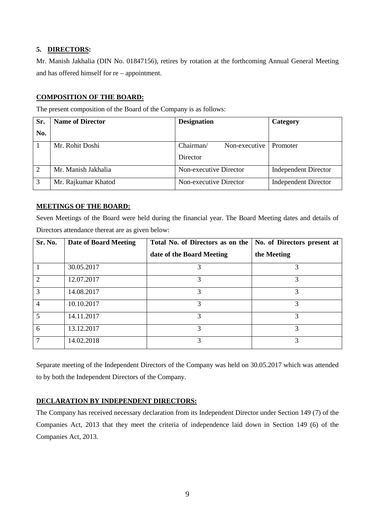#### **5. DIRECTORS :**

Mr. Manish Jakhalia (DIN No. 01847156), retires by rotation at the forthcoming Annual General Meeting and has offered himself for re – appointment.

#### **COMPOSITION OF THE BOARD:**

The present composition of the Board of the Company is as follows:

| Sr.           | <b>Name of Director</b> | <b>Designation</b>         | Category                    |
|---------------|-------------------------|----------------------------|-----------------------------|
| No.           |                         |                            |                             |
|               | Mr. Rohit Doshi         | Chairman/<br>Non-executive | Promoter                    |
|               |                         | Director                   |                             |
| 2             | Mr. Manish Jakhalia     | Non-executive Director     | <b>Independent Director</b> |
| $\mathcal{R}$ | Mr. Rajkumar Khatod     | Non-executive Director     | <b>Independent Director</b> |

#### **MEETINGS OF THE BOARD:**

Seven Meetings of the Board were held during the financial year. The Board Meeting dates and details of Directors attendance thereat are as given below:

| Sr. No.        | <b>Date of Board Meeting</b> | Total No. of Directors as on the | No. of Directors present at |
|----------------|------------------------------|----------------------------------|-----------------------------|
|                |                              | date of the Board Meeting        | the Meeting                 |
|                | 30.05.2017                   | 3                                | 3                           |
| 2              | 12.07.2017                   | 3                                | 3                           |
| 3              | 14.08.2017                   | 3                                | 3                           |
| $\overline{4}$ | 10.10.2017                   | 3                                | 3                           |
| 5              | 14.11.2017                   | 3                                | $\mathcal{R}$               |
| 6              | 13.12.2017                   | 3                                | 3                           |
| 7              | 14.02.2018                   | 3                                | 3                           |

Separate meeting of the Independent Directors of the Company was held on 30.05.2017 which was attended to by both the Independent Directors of the Company.

### **DECLARATION BY INDEPENDENT DIRECTORS:**

The Company has received necessary declaration from its Independent Director under Section 149 (7) of the Companies Act, 2013 that they meet the criteria of independence laid down in Section 149 (6) of the Companies Act, 2013.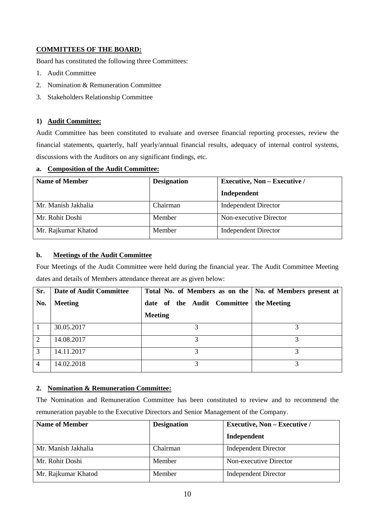#### **COMMITTEES OF THE BOARD:**

Board has constituted the following three Committees:

- 1. Audit Committee
- 2. Nomination & Remuneration Committee
- 3. Stakeholders Relationship Committee

#### **1) Audit Committee:**

Audit Committee has been constituted to evaluate and oversee financial reporting processes, review the financial statements, quarterly, half yearly/annual financial results, adequacy of internal control systems, discussions with the Auditors on any significant findings, etc.

#### **a. Composition of the Audit Committee:**

| Name of Member      | <b>Executive, Non – Executive /</b><br><b>Designation</b> |                             |
|---------------------|-----------------------------------------------------------|-----------------------------|
|                     |                                                           | Independent                 |
| Mr. Manish Jakhalia | Chairman                                                  | <b>Independent Director</b> |
| Mr. Rohit Doshi     | Member                                                    | Non-executive Director      |
| Mr. Rajkumar Khatod | Member                                                    | <b>Independent Director</b> |

#### **b. Meetings of the Audit Committee**

Four Meetings of the Audit Committee were held during the financial year. The Audit Committee Meeting dates and details of Members attendance thereat are as given below:

| Sr.            | <b>Date of Audit Committee</b> | Total No. of Members as on the   No. of Members present at |             |
|----------------|--------------------------------|------------------------------------------------------------|-------------|
| No.            | <b>Meeting</b>                 | date of the Audit Committee                                | the Meeting |
|                |                                | <b>Meeting</b>                                             |             |
|                | 30.05.2017                     |                                                            |             |
| 2              | 14.08.2017                     |                                                            |             |
| 3              | 14.11.2017                     |                                                            |             |
| $\overline{4}$ | 14.02.2018                     |                                                            |             |

#### **2. Nomination & Remuneration Committee:**

The Nomination and Remuneration Committee has been constituted to review and to recommend the remuneration payable to the Executive Directors and Senior Management of the Company.

| <b>Name of Member</b> | <b>Designation</b> | <b>Executive, Non - Executive /</b> |  |
|-----------------------|--------------------|-------------------------------------|--|
|                       |                    | Independent                         |  |
| Mr. Manish Jakhalia   | Chairman           | <b>Independent Director</b>         |  |
| Mr. Rohit Doshi       | <b>Member</b>      | Non-executive Director              |  |
| Mr. Rajkumar Khatod   | Member             | <b>Independent Director</b>         |  |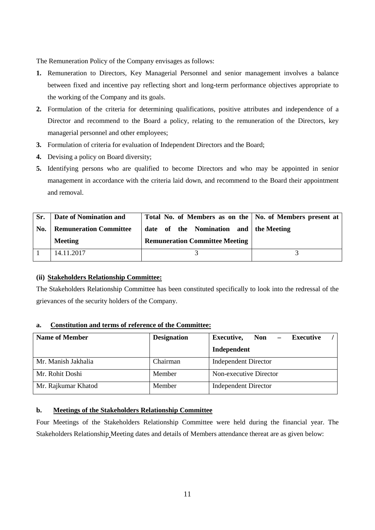The Remuneration Policy of the Company envisages as follows:

- **1.** Remuneration to Directors, Key Managerial Personnel and senior management involves a balance between fixed and incentive pay reflecting short and long-term performance objectives appropriate to the working of the Company and its goals.
- **2.** Formulation of the criteria for determining qualifications, positive attributes and independence of a Director and recommend to the Board a policy, relating to the remuneration of the Directors, key managerial personnel and other employees;
- **3.** Formulation of criteria for evaluation of Independent Directors and the Board;
- **4.** Devising a policy on Board diversity;
- **5.** Identifying persons who are qualified to become Directors and who may be appointed in senior management in accordance with the criteria laid down, and recommend to the Board their appointment and removal.

| Sr. | Date of Nomination and        | Total No. of Members as on the   No. of Members present at |  |
|-----|-------------------------------|------------------------------------------------------------|--|
| No. | <b>Remuneration Committee</b> | date of the Nomination and the Meeting                     |  |
|     | <b>Meeting</b>                | <b>Remuneration Committee Meeting</b>                      |  |
|     | 14.11.2017                    |                                                            |  |

#### **(ii) Stakeholders Relationship Committee:**

The Stakeholders Relationship Committee has been constituted specifically to look into the redressal of the grievances of the security holders of the Company.

#### **a. Constitution and terms of reference of the Committee:**

| <b>Name of Member</b> | <b>Designation</b> | <b>Executive,</b><br><b>Non</b><br><b>Executive</b> |  |
|-----------------------|--------------------|-----------------------------------------------------|--|
|                       |                    | Independent                                         |  |
| Mr. Manish Jakhalia   | Chairman           | <b>Independent Director</b>                         |  |
| Mr. Rohit Doshi       | Member             | Non-executive Director                              |  |
| Mr. Rajkumar Khatod   | Member             | <b>Independent Director</b>                         |  |

#### **b. Meetings of the Stakeholders Relationship Committee**

Four Meetings of the Stakeholders Relationship Committee were held during the financial year. The Stakeholders Relationship Meeting dates and details of Members attendance thereat are as given below: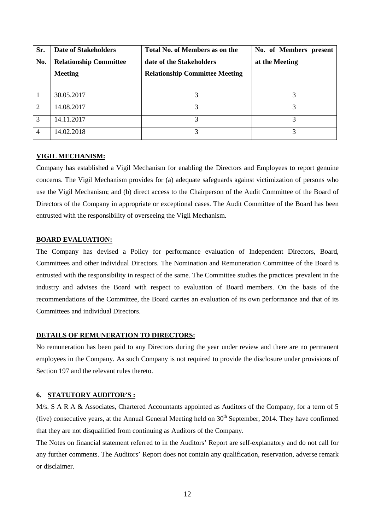| Sr. | <b>Date of Stakeholders</b>   | <b>Total No. of Members as on the</b> | No. of Members present |
|-----|-------------------------------|---------------------------------------|------------------------|
| No. | <b>Relationship Committee</b> | date of the Stakeholders              | at the Meeting         |
|     | <b>Meeting</b>                | <b>Relationship Committee Meeting</b> |                        |
|     |                               |                                       |                        |
|     | 30.05.2017                    | 3                                     |                        |
| 2   | 14.08.2017                    | 3                                     | 3                      |
| 3   | 14.11.2017                    |                                       |                        |
| 4   | 14.02.2018                    |                                       |                        |

#### **VIGIL MECHANISM:**

Company has established a Vigil Mechanism for enabling the Directors and Employees to report genuine concerns. The Vigil Mechanism provides for (a) adequate safeguards against victimization of persons who use the Vigil Mechanism; and (b) direct access to the Chairperson of the Audit Committee of the Board of Directors of the Company in appropriate or exceptional cases. The Audit Committee of the Board has been entrusted with the responsibility of overseeing the Vigil Mechanism.

#### **BOARD EVALUATION:**

The Company has devised a Policy for performance evaluation of Independent Directors, Board, Committees and other individual Directors. The Nomination and Remuneration Committee of the Board is entrusted with the responsibility in respect of the same. The Committee studies the practices prevalent in the industry and advises the Board with respect to evaluation of Board members. On the basis of the recommendations of the Committee, the Board carries an evaluation of its own performance and that of its Committees and individual Directors.

#### **DETAILS OF REMUNERATION TO DIRECTORS:**

No remuneration has been paid to any Directors during the year under review and there are no permanent employees in the Company. As such Company is not required to provide the disclosure under provisions of Section 197 and the relevant rules thereto.

#### **6. STATUTORY AUDITOR'S :**

M/s. S A R A & Associates, Chartered Accountants appointed as Auditors of the Company, for a term of 5 (five) consecutive years, at the Annual General Meeting held on  $30<sup>th</sup>$  September, 2014. They have confirmed that they are not disqualified from continuing as Auditors of the Company.

The Notes on financial statement referred to in the Auditors' Report are self-explanatory and do not call for any further comments. The Auditors' Report does not contain any qualification, reservation, adverse remark or disclaimer.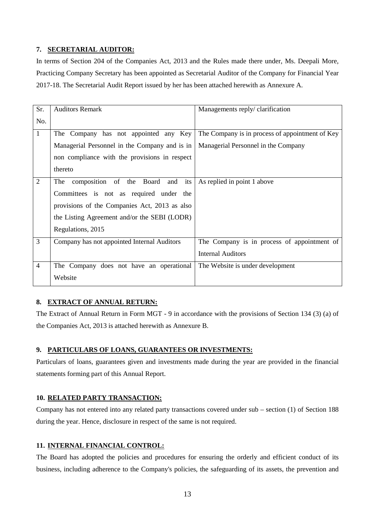#### **7. SECRETARIAL AUDITOR:**

In terms of Section 204 of the Companies Act, 2013 and the Rules made there under, Ms. Deepali More, Practicing Company Secretary has been appointed as Secretarial Auditor of the Company for Financial Year 2017-18. The Secretarial Audit Report issued by her has been attached herewith as Annexure A.

| Sr.            | <b>Auditors Remark</b>                        | Managements reply/clarification                 |
|----------------|-----------------------------------------------|-------------------------------------------------|
| No.            |                                               |                                                 |
| $\mathbf{1}$   | The Company has not appointed any Key         | The Company is in process of appointment of Key |
|                | Managerial Personnel in the Company and is in | Managerial Personnel in the Company             |
|                | non compliance with the provisions in respect |                                                 |
|                | thereto                                       |                                                 |
| $\overline{2}$ | composition of the Board<br>its<br>The<br>and | As replied in point 1 above                     |
|                | Committees is not as required under the       |                                                 |
|                | provisions of the Companies Act, 2013 as also |                                                 |
|                | the Listing Agreement and/or the SEBI (LODR)  |                                                 |
|                | Regulations, 2015                             |                                                 |
| 3              | Company has not appointed Internal Auditors   | The Company is in process of appointment of     |
|                |                                               | <b>Internal Auditors</b>                        |
| $\overline{4}$ | The Company does not have an operational      | The Website is under development                |
|                | Website                                       |                                                 |

#### **8. EXTRACT OF ANNUAL RETURN:**

The Extract of Annual Return in Form MGT - 9 in accordance with the provisions of Section 134 (3) (a) of the Companies Act, 2013 is attached herewith as Annexure B.

### **9. PARTICULARS OF LOANS, GUARANTEES OR INVESTMENTS:**

Particulars of loans, guarantees given and investments made during the year are provided in the financial statements forming part of this Annual Report.

#### **10. RELATED PARTY TRANSACTION:**

Company has not entered into any related party transactions covered under sub – section (1) of Section 188 during the year. Hence, disclosure in respect of the same is not required.

#### **11. INTERNAL FINANCIAL CONTROL:**

The Board has adopted the policies and procedures for ensuring the orderly and efficient conduct of its business, including adherence to the Company's policies, the safeguarding of its assets, the prevention and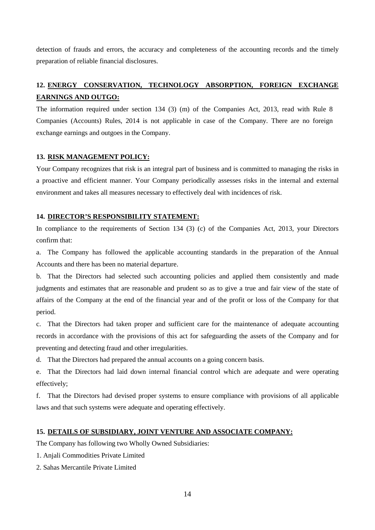detection of frauds and errors, the accuracy and completeness of the accounting records and the timely preparation of reliable financial disclosures.

## **12. ENERGY CONSERVATION, TECHNOLOGY ABSORPTION, FOREIGN EXCHANGE EARNINGS AND OUTGO:**

The information required under section 134 (3) (m) of the Companies Act, 2013, read with Rule 8 Companies (Accounts) Rules, 2014 is not applicable in case of the Company. There are no foreign exchange earnings and outgoes in the Company.

#### **13. RISK MANAGEMENT POLICY:**

Your Company recognizes that risk is an integral part of business and is committed to managing the risks in a proactive and efficient manner. Your Company periodically assesses risks in the internal and external environment and takes all measures necessary to effectively deal with incidences of risk.

#### **14. DIRECTOR'S RESPONSIBILITY STATEMENT:**

In compliance to the requirements of Section 134 (3) (c) of the Companies Act, 2013, your Directors confirm that:

a. The Company has followed the applicable accounting standards in the preparation of the Annual Accounts and there has been no material departure.

b. That the Directors had selected such accounting policies and applied them consistently and made judgments and estimates that are reasonable and prudent so as to give a true and fair view of the state of affairs of the Company at the end of the financial year and of the profit or loss of the Company for that period.

c. That the Directors had taken proper and sufficient care for the maintenance of adequate accounting records in accordance with the provisions of this act for safeguarding the assets of the Company and for preventing and detecting fraud and other irregularities.

d. That the Directors had prepared the annual accounts on a going concern basis.

e. That the Directors had laid down internal financial control which are adequate and were operating effectively;

f. That the Directors had devised proper systems to ensure compliance with provisions of all applicable laws and that such systems were adequate and operating effectively.

#### **15. DETAILS OF SUBSIDIARY, JOINT VENTURE AND ASSOCIATE COMPANY:**

The Company has following two Wholly Owned Subsidiaries:

- 1. Anjali Commodities Private Limited
- 2. Sahas Mercantile Private Limited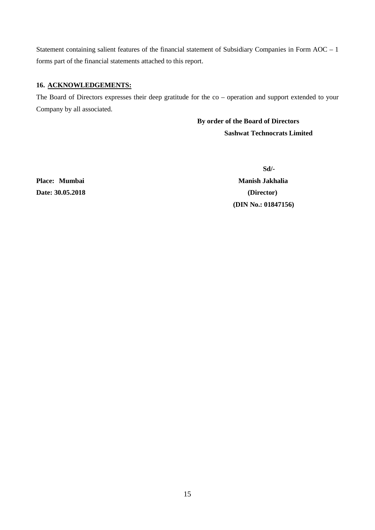Statement containing salient features of the financial statement of Subsidiary Companies in Form AOC – 1 forms part of the financial statements attached to this report.

#### **16. ACKNOWLEDGEMENTS:**

The Board of Directors expresses their deep gratitude for the co – operation and support extended to your Company by all associated.

> **By order of the Board of Directors Sashwat Technocrats Limited**

**Date: 30.05.2018 (Director)**

**Sd/-** Place: Mumbai Manish Jakhalia  **(DIN No.: 01847156)**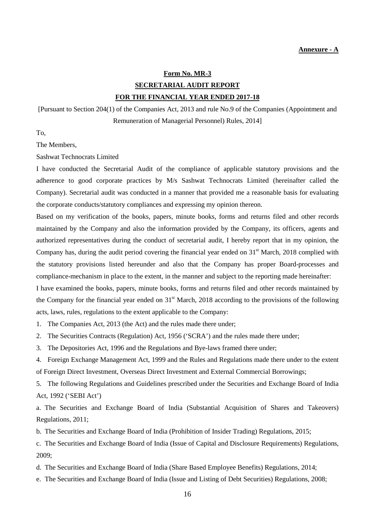#### **Form No. MR-3**

## **SECRETARIAL AUDIT REPORT FOR THE FINANCIAL YEAR ENDED 2017-18**

[Pursuant to Section 204(1) of the Companies Act, 2013 and rule No.9 of the Companies (Appointment and Remuneration of Managerial Personnel) Rules, 2014]

To,

The Members,

Sashwat Technocrats Limited

I have conducted the Secretarial Audit of the compliance of applicable statutory provisions and the adherence to good corporate practices by M/s Sashwat Technocrats Limited (hereinafter called the Company). Secretarial audit was conducted in a manner that provided me a reasonable basis for evaluating the corporate conducts/statutory compliances and expressing my opinion thereon.

Based on my verification of the books, papers, minute books, forms and returns filed and other records maintained by the Company and also the information provided by the Company, its officers, agents and authorized representatives during the conduct of secretarial audit, I hereby report that in my opinion, the Company has, during the audit period covering the financial year ended on 31<sup>st</sup> March, 2018 complied with the statutory provisions listed hereunder and also that the Company has proper Board-processes and compliance-mechanism in place to the extent, in the manner and subject to the reporting made hereinafter:

I have examined the books, papers, minute books, forms and returns filed and other records maintained by the Company for the financial year ended on  $31<sup>st</sup>$  March, 2018 according to the provisions of the following acts, laws, rules, regulations to the extent applicable to the Company:

1. The Companies Act, 2013 (the Act) and the rules made there under;

2. The Securities Contracts (Regulation) Act, 1956 ('SCRA') and the rules made there under;

3. The Depositories Act, 1996 and the Regulations and Bye-laws framed there under;

4. Foreign Exchange Management Act, 1999 and the Rules and Regulations made there under to the extent of Foreign Direct Investment, Overseas Direct Investment and External Commercial Borrowings;

5. The following Regulations and Guidelines prescribed under the Securities and Exchange Board of India Act, 1992 ('SEBI Act')

a. The Securities and Exchange Board of India (Substantial Acquisition of Shares and Takeovers) Regulations, 2011;

b. The Securities and Exchange Board of India (Prohibition of Insider Trading) Regulations, 2015;

c. The Securities and Exchange Board of India (Issue of Capital and Disclosure Requirements) Regulations, 2009;

d. The Securities and Exchange Board of India (Share Based Employee Benefits) Regulations, 2014;

e. The Securities and Exchange Board of India (Issue and Listing of Debt Securities) Regulations, 2008;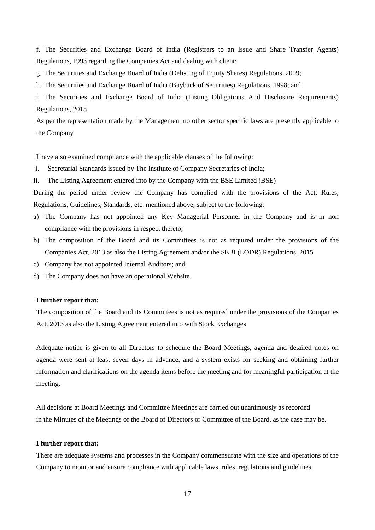f. The Securities and Exchange Board of India (Registrars to an Issue and Share Transfer Agents) Regulations, 1993 regarding the Companies Act and dealing with client;

- g. The Securities and Exchange Board of India (Delisting of Equity Shares) Regulations, 2009;
- h. The Securities and Exchange Board of India (Buyback of Securities) Regulations, 1998; and
- i. The Securities and Exchange Board of India (Listing Obligations And Disclosure Requirements) Regulations, 2015

As per the representation made by the Management no other sector specific laws are presently applicable to the Company

I have also examined compliance with the applicable clauses of the following:

- i. Secretarial Standards issued by The Institute of Company Secretaries of India;
- ii. The Listing Agreement entered into by the Company with the BSE Limited (BSE)

During the period under review the Company has complied with the provisions of the Act, Rules, Regulations, Guidelines, Standards, etc. mentioned above, subject to the following:

- a) The Company has not appointed any Key Managerial Personnel in the Company and is in non compliance with the provisions in respect thereto;
- b) The composition of the Board and its Committees is not as required under the provisions of the Companies Act, 2013 as also the Listing Agreement and/or the SEBI (LODR) Regulations, 2015
- c) Company has not appointed Internal Auditors; and
- d) The Company does not have an operational Website.

#### **I further report that:**

The composition of the Board and its Committees is not as required under the provisions of the Companies Act, 2013 as also the Listing Agreement entered into with Stock Exchanges

Adequate notice is given to all Directors to schedule the Board Meetings, agenda and detailed notes on agenda were sent at least seven days in advance, and a system exists for seeking and obtaining further information and clarifications on the agenda items before the meeting and for meaningful participation at the meeting.

All decisions at Board Meetings and Committee Meetings are carried out unanimously as recorded in the Minutes of the Meetings of the Board of Directors or Committee of the Board, as the case may be.

#### **I further report that:**

There are adequate systems and processes in the Company commensurate with the size and operations of the Company to monitor and ensure compliance with applicable laws, rules, regulations and guidelines.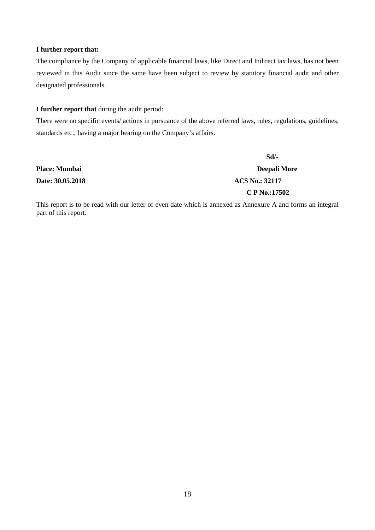#### **I further report that:**

The compliance by the Company of applicable financial laws, like Direct and Indirect tax laws, has not been reviewed in this Audit since the same have been subject to review by statutory financial audit and other designated professionals.

#### **I further report that** during the audit period:

There were no specific events/ actions in pursuance of the above referred laws, rules, regulations, guidelines, standards etc., having a major bearing on the Company's affairs.

|                      | Sd                    |
|----------------------|-----------------------|
| <b>Place: Mumbai</b> | Deepali More          |
| Date: 30.05.2018     | <b>ACS No.: 32117</b> |
|                      | $C$ P No.:17502       |

This report is to be read with our letter of even date which is annexed as Annexure A and forms an integral part of this report.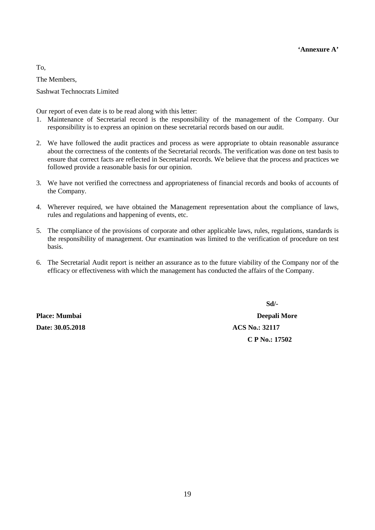To,

The Members,

Sashwat Technocrats Limited

Our report of even date is to be read along with this letter:

- 1. Maintenance of Secretarial record is the responsibility of the management of the Company. Our responsibility is to express an opinion on these secretarial records based on our audit.
- 2. We have followed the audit practices and process as were appropriate to obtain reasonable assurance about the correctness of the contents of the Secretarial records. The verification was done on test basis to ensure that correct facts are reflected in Secretarial records. We believe that the process and practices we followed provide a reasonable basis for our opinion.
- 3. We have not verified the correctness and appropriateness of financial records and books of accounts of the Company.
- 4. Wherever required, we have obtained the Management representation about the compliance of laws, rules and regulations and happening of events, etc.
- 5. The compliance of the provisions of corporate and other applicable laws, rules, regulations, standards is the responsibility of management. Our examination was limited to the verification of procedure on test basis.
- 6. The Secretarial Audit report is neither an assurance as to the future viability of the Company nor of the efficacy or effectiveness with which the management has conducted the affairs of the Company.

**Date: 30.05.2018** ACS No.: 32117

 **Sd/- Place: Mumbai Deepali More C P No.: 17502**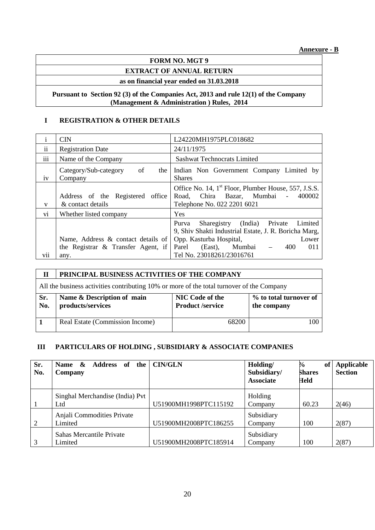#### **FORM NO. MGT 9**

## **EXTRACT OF ANNUAL RETURN**

## **as on financial year ended on 31.03.2018**

#### **Pursuant to Section 92 (3) of the Companies Act, 2013 and rule 12(1) of the Company (Management & Administration ) Rules, 2014**

#### **I REGISTRATION & OTHER DETAILS**

|                            | <b>CIN</b>                                                                  | L24220MH1975PLC018682                                                                                                                                                                    |
|----------------------------|-----------------------------------------------------------------------------|------------------------------------------------------------------------------------------------------------------------------------------------------------------------------------------|
| $\cdot$ .<br><sup>ii</sup> | <b>Registration Date</b>                                                    | 24/11/1975                                                                                                                                                                               |
| $\cdots$<br>111            | Name of the Company                                                         | <b>Sashwat Technocrats Limited</b>                                                                                                                                                       |
| iv                         | of<br>Category/Sub-category<br>the 1<br>Company                             | Indian Non Government Company Limited by<br><b>Shares</b>                                                                                                                                |
| V                          | Address of the Registered office<br>& contact details                       | Office No. 14, 1 <sup>st</sup> Floor, Plumber House, 557, J.S.S.<br>Chira Bazar, Mumbai<br>400002<br>Road.<br>$\sim$<br>Telephone No. 022 2201 6021                                      |
| vi                         | Whether listed company                                                      | Yes                                                                                                                                                                                      |
| $\cdot$ .                  | Name, Address & contact details of<br>the Registrar $\&$ Transfer Agent, if | Sharegistry (India) Private<br>Limited<br>Purva<br>9, Shiv Shakti Industrial Estate, J. R. Boricha Marg,<br>Opp. Kasturba Hospital,<br>Lower<br>Mumbai<br>(East),<br>Parel<br>400<br>011 |
| V11                        | any.                                                                        | Tel No. 23018261/23016761                                                                                                                                                                |

| П          | PRINCIPAL BUSINESS ACTIVITIES OF THE COMPANY                                              |                                                   |                                       |  |  |  |  |  |
|------------|-------------------------------------------------------------------------------------------|---------------------------------------------------|---------------------------------------|--|--|--|--|--|
|            | All the business activities contributing 10% or more of the total turnover of the Company |                                                   |                                       |  |  |  |  |  |
| Sr.<br>No. | Name & Description of main<br>products/services                                           | <b>NIC Code of the</b><br><b>Product /service</b> | % to total turnover of<br>the company |  |  |  |  |  |
|            | Real Estate (Commission Income)                                                           | 68200                                             | 100                                   |  |  |  |  |  |

#### **III PARTICULARS OF HOLDING , SUBSIDIARY & ASSOCIATE COMPANIES**

| Sr.<br>No. | <b>Name</b><br>$\mathbf{\alpha}$<br><b>Address</b><br>of<br>the<br>Company | <b>CIN/GLN</b>        | Holding/<br>Subsidiary/<br><b>Associate</b> | of<br>⅛<br><b>Shares</b><br>Held | Applicable<br><b>Section</b> |
|------------|----------------------------------------------------------------------------|-----------------------|---------------------------------------------|----------------------------------|------------------------------|
|            | Singhal Merchandise (India) Pvt<br>Ltd                                     | U51900MH1998PTC115192 | Holding<br>Company                          | 60.23                            | 2(46)                        |
| 2          | Anjali Commodities Private<br>Limited                                      | U51900MH2008PTC186255 | Subsidiary<br>Company                       | 100                              | 2(87)                        |
|            | Sahas Mercantile Private<br>Limited                                        | U51900MH2008PTC185914 | Subsidiary<br>Company                       | 100                              | 2(87)                        |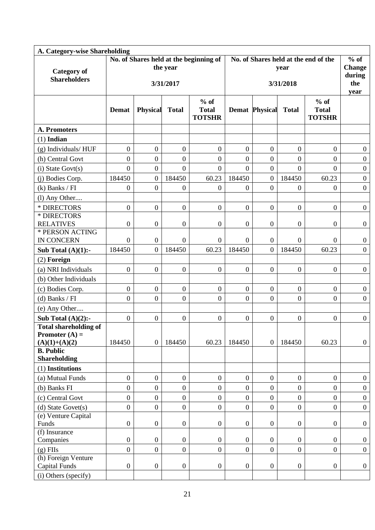| A. Category-wise Shareholding           |                  |                  |                  |                                        |                                      |                       |                  |                  |                  |  |
|-----------------------------------------|------------------|------------------|------------------|----------------------------------------|--------------------------------------|-----------------------|------------------|------------------|------------------|--|
|                                         |                  |                  |                  | No. of Shares held at the beginning of | No. of Shares held at the end of the | $%$ of                |                  |                  |                  |  |
| <b>Category of</b>                      |                  |                  | the year         |                                        |                                      | <b>Change</b>         |                  |                  |                  |  |
| <b>Shareholders</b>                     |                  |                  |                  |                                        |                                      | during<br>the         |                  |                  |                  |  |
|                                         |                  |                  | 3/31/2017        |                                        |                                      | 3/31/2018             |                  |                  |                  |  |
|                                         |                  |                  |                  |                                        |                                      | year                  |                  |                  |                  |  |
|                                         |                  |                  |                  | $%$ of                                 |                                      |                       |                  | $%$ of           |                  |  |
|                                         | <b>Demat</b>     | <b>Physical</b>  | <b>Total</b>     | <b>Total</b>                           |                                      | <b>Demat Physical</b> | <b>Total</b>     | <b>Total</b>     |                  |  |
|                                         |                  |                  |                  | <b>TOTSHR</b>                          |                                      |                       |                  | <b>TOTSHR</b>    |                  |  |
| <b>A. Promoters</b>                     |                  |                  |                  |                                        |                                      |                       |                  |                  |                  |  |
| $(1)$ Indian                            |                  |                  |                  |                                        |                                      |                       |                  |                  |                  |  |
| (g) Individuals/HUF                     | $\boldsymbol{0}$ | $\boldsymbol{0}$ | $\overline{0}$   | $\boldsymbol{0}$                       | $\boldsymbol{0}$                     | $\overline{0}$        | $\overline{0}$   | $\boldsymbol{0}$ | $\overline{0}$   |  |
| (h) Central Govt                        | $\boldsymbol{0}$ | $\overline{0}$   | $\overline{0}$   | $\overline{0}$                         | $\overline{0}$                       | $\overline{0}$        | $\overline{0}$   | $\boldsymbol{0}$ | $\overline{0}$   |  |
| $(i)$ State Govt $(s)$                  | $\mathbf{0}$     | $\overline{0}$   | $\boldsymbol{0}$ | $\boldsymbol{0}$                       | $\overline{0}$                       | $\overline{0}$        | $\overline{0}$   | $\overline{0}$   | $\boldsymbol{0}$ |  |
| (i) Bodies Corp.                        | 184450           | $\overline{0}$   | 184450           | 60.23                                  | 184450                               | $\overline{0}$        | 184450           | 60.23            | $\overline{0}$   |  |
| $(k)$ Banks / FI                        | $\boldsymbol{0}$ | $\overline{0}$   | $\overline{0}$   | $\boldsymbol{0}$                       | $\overline{0}$                       | $\boldsymbol{0}$      | $\overline{0}$   | $\boldsymbol{0}$ | $\overline{0}$   |  |
| (l) Any Other                           |                  |                  |                  |                                        |                                      |                       |                  |                  |                  |  |
| * DIRECTORS                             | $\overline{0}$   | $\overline{0}$   | $\overline{0}$   | $\boldsymbol{0}$                       | $\overline{0}$                       | $\overline{0}$        | $\overline{0}$   | $\overline{0}$   | $\overline{0}$   |  |
| * DIRECTORS                             |                  |                  |                  |                                        |                                      |                       |                  |                  |                  |  |
| <b>RELATIVES</b>                        | $\boldsymbol{0}$ | $\boldsymbol{0}$ | $\boldsymbol{0}$ | $\overline{0}$                         | $\boldsymbol{0}$                     | $\boldsymbol{0}$      | $\boldsymbol{0}$ | $\boldsymbol{0}$ | $\overline{0}$   |  |
| * PERSON ACTING                         |                  |                  |                  |                                        |                                      |                       |                  |                  |                  |  |
| <b>IN CONCERN</b>                       | $\overline{0}$   | $\overline{0}$   | $\overline{0}$   | $\mathbf{0}$                           | $\overline{0}$                       | $\overline{0}$        | $\theta$         | $\Omega$         | $\overline{0}$   |  |
| Sub Total $(A)(1)$ :-                   | 184450           | $\overline{0}$   | 184450           | 60.23                                  | 184450                               | $\overline{0}$        | 184450           | 60.23            | $\overline{0}$   |  |
| $(2)$ Foreign                           |                  |                  |                  |                                        |                                      |                       |                  |                  |                  |  |
| (a) NRI Individuals                     | $\overline{0}$   | $\overline{0}$   | $\boldsymbol{0}$ | $\boldsymbol{0}$                       | $\boldsymbol{0}$                     | $\boldsymbol{0}$      | $\overline{0}$   | $\boldsymbol{0}$ | $\overline{0}$   |  |
| (b) Other Individuals                   |                  |                  |                  |                                        |                                      |                       |                  |                  |                  |  |
| (c) Bodies Corp.                        | $\overline{0}$   | $\overline{0}$   | $\overline{0}$   | $\boldsymbol{0}$                       | $\boldsymbol{0}$                     | $\overline{0}$        | $\boldsymbol{0}$ | $\overline{0}$   | $\boldsymbol{0}$ |  |
| $(d)$ Banks / FI                        | $\overline{0}$   | $\overline{0}$   | $\overline{0}$   | $\overline{0}$                         | $\overline{0}$                       | $\overline{0}$        | $\overline{0}$   | $\boldsymbol{0}$ | $\overline{0}$   |  |
| (e) Any Other                           |                  |                  |                  |                                        |                                      |                       |                  |                  |                  |  |
| Sub Total $(A)(2)$ :-                   | $\boldsymbol{0}$ | $\boldsymbol{0}$ | $\boldsymbol{0}$ | $\boldsymbol{0}$                       | $\boldsymbol{0}$                     | $\overline{0}$        | $\boldsymbol{0}$ | $\boldsymbol{0}$ | $\overline{0}$   |  |
| <b>Total shareholding of</b>            |                  |                  |                  |                                        |                                      |                       |                  |                  |                  |  |
| Promoter $(A)$ =                        |                  |                  |                  |                                        |                                      |                       |                  |                  |                  |  |
| $(A)(1)+(A)(2)$                         | 184450           | $\boldsymbol{0}$ | 184450           | 60.23                                  | 184450                               | $\overline{0}$        | 184450           | 60.23            | $\overline{0}$   |  |
| <b>B.</b> Public                        |                  |                  |                  |                                        |                                      |                       |                  |                  |                  |  |
| <b>Shareholding</b><br>(1) Institutions |                  |                  |                  |                                        |                                      |                       |                  |                  |                  |  |
| (a) Mutual Funds                        | $\overline{0}$   | $\overline{0}$   | $\mathbf{0}$     | $\mathbf{0}$                           | $\overline{0}$                       | $\overline{0}$        | $\mathbf{0}$     | $\boldsymbol{0}$ | $\overline{0}$   |  |
| (b) Banks FI                            | $\boldsymbol{0}$ | $\overline{0}$   | $\boldsymbol{0}$ | $\overline{0}$                         | $\boldsymbol{0}$                     | $\boldsymbol{0}$      | $\overline{0}$   | $\overline{0}$   | $\overline{0}$   |  |
| (c) Central Govt                        | $\boldsymbol{0}$ | $\boldsymbol{0}$ | $\boldsymbol{0}$ | $\overline{0}$                         | $\boldsymbol{0}$                     | $\boldsymbol{0}$      | $\overline{0}$   | $\overline{0}$   | $\overline{0}$   |  |
| $(d)$ State Govet $(s)$                 | $\overline{0}$   | $\overline{0}$   | $\overline{0}$   | $\overline{0}$                         | $\overline{0}$                       | $\overline{0}$        | $\mathbf{0}$     | $\overline{0}$   | $\overline{0}$   |  |
| (e) Venture Capital                     |                  |                  |                  |                                        |                                      |                       |                  |                  |                  |  |
| Funds                                   | $\boldsymbol{0}$ | $\boldsymbol{0}$ | $\boldsymbol{0}$ | $\overline{0}$                         | $\boldsymbol{0}$                     | $\boldsymbol{0}$      | $\overline{0}$   | $\boldsymbol{0}$ | $\overline{0}$   |  |
| (f) Insurance                           |                  |                  |                  |                                        |                                      |                       |                  |                  |                  |  |
| Companies                               | $\overline{0}$   | $\overline{0}$   | $\mathbf{0}$     | $\mathbf{0}$                           | $\overline{0}$                       | $\overline{0}$        | $\overline{0}$   | $\overline{0}$   | $\overline{0}$   |  |
| $(g)$ FIIs                              | $\overline{0}$   | $\overline{0}$   | $\overline{0}$   | $\mathbf{0}$                           | $\overline{0}$                       | $\overline{0}$        | $\overline{0}$   | $\overline{0}$   | $\overline{0}$   |  |
| (h) Foreign Venture                     |                  |                  |                  |                                        |                                      |                       |                  |                  |                  |  |
| <b>Capital Funds</b>                    | $\boldsymbol{0}$ | $\boldsymbol{0}$ | $\boldsymbol{0}$ | $\boldsymbol{0}$                       | $\boldsymbol{0}$                     | $\boldsymbol{0}$      | $\overline{0}$   | $\boldsymbol{0}$ | $\overline{0}$   |  |
| (i) Others (specify)                    |                  |                  |                  |                                        |                                      |                       |                  |                  |                  |  |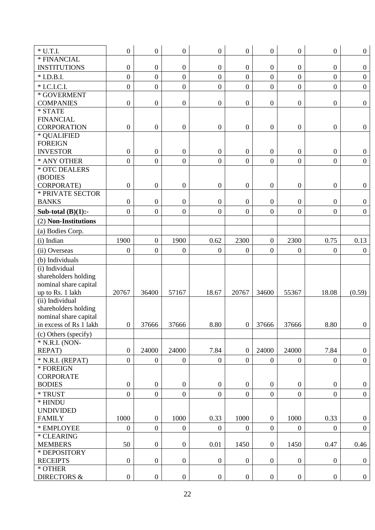| $*$ U.T.I.                        | $\boldsymbol{0}$ | $\boldsymbol{0}$ | $\mathbf{0}$     | $\boldsymbol{0}$ | $\overline{0}$   | $\overline{0}$   | $\boldsymbol{0}$ | $\boldsymbol{0}$ | $\overline{0}$   |
|-----------------------------------|------------------|------------------|------------------|------------------|------------------|------------------|------------------|------------------|------------------|
| * FINANCIAL                       |                  |                  |                  |                  |                  |                  |                  |                  |                  |
| <b>INSTITUTIONS</b>               | $\boldsymbol{0}$ | $\boldsymbol{0}$ | $\boldsymbol{0}$ | $\boldsymbol{0}$ | $\boldsymbol{0}$ | $\boldsymbol{0}$ | $\boldsymbol{0}$ | $\boldsymbol{0}$ | $\overline{0}$   |
| $*$ I.D.B.I.                      | $\overline{0}$   | $\overline{0}$   | $\overline{0}$   | $\overline{0}$   | $\mathbf{0}$     | $\mathbf{0}$     | $\overline{0}$   | $\overline{0}$   | $\boldsymbol{0}$ |
| * I.C.I.C.I.                      | $\overline{0}$   | $\overline{0}$   | $\mathbf{0}$     | $\overline{0}$   | $\overline{0}$   | $\boldsymbol{0}$ | $\mathbf{0}$     | $\overline{0}$   | $\overline{0}$   |
| * GOVERMENT                       |                  |                  |                  |                  |                  |                  |                  |                  |                  |
| <b>COMPANIES</b>                  | $\boldsymbol{0}$ | $\boldsymbol{0}$ | $\boldsymbol{0}$ | $\boldsymbol{0}$ | $\overline{0}$   | $\boldsymbol{0}$ | $\boldsymbol{0}$ | $\boldsymbol{0}$ | $\overline{0}$   |
| * STATE                           |                  |                  |                  |                  |                  |                  |                  |                  |                  |
| <b>FINANCIAL</b>                  |                  |                  |                  |                  |                  |                  |                  |                  |                  |
| <b>CORPORATION</b>                | $\boldsymbol{0}$ | $\boldsymbol{0}$ | $\boldsymbol{0}$ | $\boldsymbol{0}$ | $\overline{0}$   | $\overline{0}$   | $\boldsymbol{0}$ | $\boldsymbol{0}$ | $\overline{0}$   |
| * QUALIFIED                       |                  |                  |                  |                  |                  |                  |                  |                  |                  |
| <b>FOREIGN</b>                    |                  |                  |                  |                  |                  |                  |                  |                  |                  |
| <b>INVESTOR</b>                   | $\boldsymbol{0}$ | $\boldsymbol{0}$ | $\boldsymbol{0}$ | $\boldsymbol{0}$ | $\overline{0}$   | $\boldsymbol{0}$ | $\boldsymbol{0}$ | $\boldsymbol{0}$ | $\boldsymbol{0}$ |
| * ANY OTHER                       | $\overline{0}$   | $\overline{0}$   | $\overline{0}$   | $\overline{0}$   | $\overline{0}$   | $\overline{0}$   | $\overline{0}$   | $\overline{0}$   | $\overline{0}$   |
| * OTC DEALERS                     |                  |                  |                  |                  |                  |                  |                  |                  |                  |
| (BODIES                           |                  |                  |                  |                  |                  |                  |                  |                  |                  |
| <b>CORPORATE)</b>                 | $\boldsymbol{0}$ | $\boldsymbol{0}$ | $\boldsymbol{0}$ | $\boldsymbol{0}$ | $\overline{0}$   | $\boldsymbol{0}$ | $\boldsymbol{0}$ | $\boldsymbol{0}$ | $\overline{0}$   |
| * PRIVATE SECTOR                  |                  |                  |                  |                  |                  |                  |                  |                  |                  |
| <b>BANKS</b>                      | $\boldsymbol{0}$ | $\boldsymbol{0}$ | $\overline{0}$   | $\boldsymbol{0}$ | $\mathbf{0}$     | $\boldsymbol{0}$ | $\boldsymbol{0}$ | $\boldsymbol{0}$ | $\overline{0}$   |
| Sub-total $(B)(1)$ :-             | $\overline{0}$   | $\overline{0}$   | $\mathbf{0}$     | $\mathbf{0}$     | $\overline{0}$   | $\overline{0}$   | $\overline{0}$   | $\overline{0}$   | $\boldsymbol{0}$ |
| (2) Non-Institutions              |                  |                  |                  |                  |                  |                  |                  |                  |                  |
| (a) Bodies Corp.                  |                  |                  |                  |                  |                  |                  |                  |                  |                  |
| (i) Indian                        | 1900             | $\boldsymbol{0}$ | 1900             | 0.62             | 2300             | $\boldsymbol{0}$ | 2300             | 0.75             | 0.13             |
| (ii) Overseas                     | $\boldsymbol{0}$ | $\overline{0}$   | $\boldsymbol{0}$ | $\overline{0}$   | $\boldsymbol{0}$ | $\mathbf{0}$     | $\overline{0}$   | $\overline{0}$   | $\overline{0}$   |
| (b) Individuals                   |                  |                  |                  |                  |                  |                  |                  |                  |                  |
| (i) Individual                    |                  |                  |                  |                  |                  |                  |                  |                  |                  |
| shareholders holding              |                  |                  |                  |                  |                  |                  |                  |                  |                  |
| nominal share capital             |                  |                  |                  |                  |                  |                  |                  |                  |                  |
| up to Rs. 1 lakh                  | 20767            | 36400            | 57167            | 18.67            | 20767            | 34600            | 55367            | 18.08            | (0.59)           |
| (ii) Individual                   |                  |                  |                  |                  |                  |                  |                  |                  |                  |
| shareholders holding              |                  |                  |                  |                  |                  |                  |                  |                  |                  |
| nominal share capital             |                  |                  |                  |                  |                  |                  |                  |                  |                  |
| in excess of Rs 1 lakh            | $\overline{0}$   | 37666            | 37666            | 8.80             | $\overline{0}$   | 37666            | 37666            | 8.80             | $\overline{0}$   |
| (c) Others (specify)              |                  |                  |                  |                  |                  |                  |                  |                  |                  |
| * N.R.I. (NON-                    |                  |                  |                  |                  |                  |                  |                  |                  |                  |
| REPAT)                            | $\boldsymbol{0}$ | 24000            | 24000            | 7.84             | $\overline{0}$   | 24000            | 24000            | 7.84             | $\overline{0}$   |
| $*$ N.R.I. (REPAT)                | $\overline{0}$   | $\overline{0}$   | $\mathbf{0}$     | $\overline{0}$   | $\overline{0}$   | $\overline{0}$   | $\overline{0}$   | $\overline{0}$   | $\overline{0}$   |
| * FOREIGN                         |                  |                  |                  |                  |                  |                  |                  |                  |                  |
| <b>CORPORATE</b>                  |                  |                  |                  |                  |                  |                  |                  |                  |                  |
| <b>BODIES</b>                     | $\boldsymbol{0}$ | $\boldsymbol{0}$ | $\boldsymbol{0}$ | $\overline{0}$   | $\overline{0}$   | $\boldsymbol{0}$ | $\boldsymbol{0}$ | $\boldsymbol{0}$ | $\overline{0}$   |
| * TRUST                           | $\overline{0}$   | $\overline{0}$   | $\mathbf{0}$     | $\overline{0}$   | $\overline{0}$   | $\overline{0}$   | $\overline{0}$   | $\overline{0}$   | $\overline{0}$   |
| * HINDU                           |                  |                  |                  |                  |                  |                  |                  |                  |                  |
| <b>UNDIVIDED</b>                  |                  |                  |                  |                  |                  |                  |                  |                  |                  |
| <b>FAMILY</b>                     | 1000             | $\overline{0}$   | 1000             | 0.33             | 1000             | $\mathbf{0}$     | 1000             | 0.33             | $\overline{0}$   |
| * EMPLOYEE                        | $\overline{0}$   | $\overline{0}$   | $\overline{0}$   | $\overline{0}$   | $\overline{0}$   | $\overline{0}$   | $\overline{0}$   | $\overline{0}$   | $\overline{0}$   |
| * CLEARING                        |                  |                  |                  |                  |                  |                  |                  |                  |                  |
| <b>MEMBERS</b>                    | 50               | $\boldsymbol{0}$ | $\boldsymbol{0}$ | 0.01             | 1450             | $\mathbf{0}$     | 1450             | 0.47             | 0.46             |
| * DEPOSITORY                      |                  |                  |                  |                  |                  |                  |                  |                  |                  |
| <b>RECEIPTS</b>                   | $\boldsymbol{0}$ | $\boldsymbol{0}$ | $\boldsymbol{0}$ | $\boldsymbol{0}$ | $\overline{0}$   | $\boldsymbol{0}$ | $\boldsymbol{0}$ | $\boldsymbol{0}$ | $\overline{0}$   |
| * OTHER<br><b>DIRECTORS &amp;</b> |                  |                  |                  |                  |                  |                  |                  |                  |                  |
|                                   | $\boldsymbol{0}$ | $\boldsymbol{0}$ | $\boldsymbol{0}$ | $\overline{0}$   | $\overline{0}$   | $\overline{0}$   | $\boldsymbol{0}$ | $\boldsymbol{0}$ | $\overline{0}$   |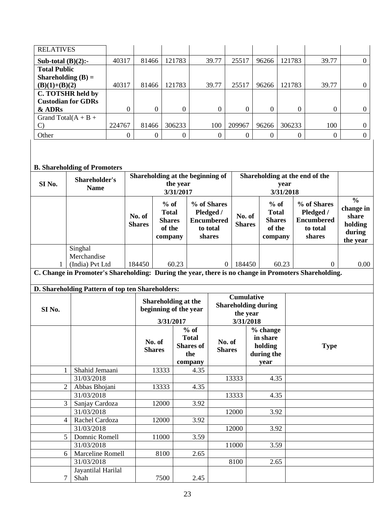| <b>RELATIVES</b>          |        |       |          |       |          |       |        |       |   |
|---------------------------|--------|-------|----------|-------|----------|-------|--------|-------|---|
| Sub-total $(B)(2)$ :-     | 40317  | 81466 | 121783   | 39.77 | 25517    | 96266 | 121783 | 39.77 |   |
| <b>Total Public</b>       |        |       |          |       |          |       |        |       |   |
| Shareholding $(B) =$      |        |       |          |       |          |       |        |       |   |
| $(B)(1)+(B)(2)$           | 40317  | 81466 | 121783   | 39.77 | 25517    | 96266 | 121783 | 39.77 |   |
| C. TOTSHR held by         |        |       |          |       |          |       |        |       |   |
| <b>Custodian for GDRs</b> |        |       |          |       |          |       |        |       |   |
| & ADRs                    | 0      | 0     | $\Omega$ | 0     | $\Omega$ |       |        |       | 0 |
| Grand Total( $A + B +$    |        |       |          |       |          |       |        |       |   |
|                           | 224767 | 81466 | 306233   | 100   | 209967   | 96266 | 306233 | 100   |   |
| Other                     | 0      |       |          |       |          |       |        |       |   |

## **B. Shareholding of Promoters**

| $\frac{0}{0}$<br>$%$ of<br>% of Shares<br>$%$ of<br>% of Shares<br><b>Total</b><br>Pledged /<br><b>Total</b><br>Pledged /<br>No. of<br>share<br>No. of<br><b>Encumbered</b><br><b>Shares</b><br><b>Encumbered</b><br><b>Shares</b><br>holding<br><b>Shares</b><br><b>Shares</b><br>of the<br>of the<br>to total<br>to total<br>during<br>shares<br>shares<br>company<br>company<br>the year<br>Singhal<br>Merchandise<br>(India) Pvt Ltd<br>60.23<br>184450<br>184450<br>60.23<br>$\overline{0}$<br>0.00<br>1<br>$\Omega$<br>C. Change in Promoter's Shareholding: During the year, there is no change in Promoters Shareholding.<br>D. Shareholding Pattern of top ten Shareholders:<br><b>Cumulative</b><br>Shareholding at the | SI <sub>No.</sub> | Shareholder's<br><b>Name</b> |  | Shareholding at the beginning of<br>the year<br>3/31/2017 |  | Shareholding at the end of the<br>year<br>3/31/2018 |  |  |           |
|-----------------------------------------------------------------------------------------------------------------------------------------------------------------------------------------------------------------------------------------------------------------------------------------------------------------------------------------------------------------------------------------------------------------------------------------------------------------------------------------------------------------------------------------------------------------------------------------------------------------------------------------------------------------------------------------------------------------------------------|-------------------|------------------------------|--|-----------------------------------------------------------|--|-----------------------------------------------------|--|--|-----------|
|                                                                                                                                                                                                                                                                                                                                                                                                                                                                                                                                                                                                                                                                                                                                   |                   |                              |  |                                                           |  |                                                     |  |  | change in |
|                                                                                                                                                                                                                                                                                                                                                                                                                                                                                                                                                                                                                                                                                                                                   |                   |                              |  |                                                           |  |                                                     |  |  |           |
|                                                                                                                                                                                                                                                                                                                                                                                                                                                                                                                                                                                                                                                                                                                                   |                   |                              |  |                                                           |  |                                                     |  |  |           |
|                                                                                                                                                                                                                                                                                                                                                                                                                                                                                                                                                                                                                                                                                                                                   |                   |                              |  |                                                           |  |                                                     |  |  |           |
|                                                                                                                                                                                                                                                                                                                                                                                                                                                                                                                                                                                                                                                                                                                                   |                   |                              |  |                                                           |  |                                                     |  |  |           |
|                                                                                                                                                                                                                                                                                                                                                                                                                                                                                                                                                                                                                                                                                                                                   |                   |                              |  |                                                           |  |                                                     |  |  |           |
|                                                                                                                                                                                                                                                                                                                                                                                                                                                                                                                                                                                                                                                                                                                                   |                   |                              |  |                                                           |  |                                                     |  |  |           |
|                                                                                                                                                                                                                                                                                                                                                                                                                                                                                                                                                                                                                                                                                                                                   |                   | <b>Shareholding during</b>   |  |                                                           |  |                                                     |  |  |           |
| SI <sub>No.</sub><br>beginning of the year<br>the year                                                                                                                                                                                                                                                                                                                                                                                                                                                                                                                                                                                                                                                                            |                   |                              |  |                                                           |  |                                                     |  |  |           |
| 3/31/2018<br>3/31/2017                                                                                                                                                                                                                                                                                                                                                                                                                                                                                                                                                                                                                                                                                                            |                   |                              |  |                                                           |  |                                                     |  |  |           |
| $%$ of<br>% change<br><b>Total</b><br>in share<br>No. of<br>No. of<br><b>Shares</b> of<br>holding<br><b>Type</b><br><b>Shares</b><br><b>Shares</b><br>the<br>during the                                                                                                                                                                                                                                                                                                                                                                                                                                                                                                                                                           |                   |                              |  |                                                           |  |                                                     |  |  |           |
| company<br>year                                                                                                                                                                                                                                                                                                                                                                                                                                                                                                                                                                                                                                                                                                                   |                   |                              |  |                                                           |  |                                                     |  |  |           |
| 13333<br>$\mathbf{1}$<br>Shahid Jemaani<br>4.35                                                                                                                                                                                                                                                                                                                                                                                                                                                                                                                                                                                                                                                                                   |                   |                              |  |                                                           |  |                                                     |  |  |           |
| 31/03/2018<br>13333<br>4.35                                                                                                                                                                                                                                                                                                                                                                                                                                                                                                                                                                                                                                                                                                       |                   |                              |  |                                                           |  |                                                     |  |  |           |
| $\overline{2}$<br>Abbas Bhojani<br>13333<br>4.35                                                                                                                                                                                                                                                                                                                                                                                                                                                                                                                                                                                                                                                                                  |                   |                              |  |                                                           |  |                                                     |  |  |           |
| 31/03/2018<br>13333<br>4.35                                                                                                                                                                                                                                                                                                                                                                                                                                                                                                                                                                                                                                                                                                       |                   |                              |  |                                                           |  |                                                     |  |  |           |
| $\overline{3}$<br>12000<br>3.92<br>Sanjay Cardoza                                                                                                                                                                                                                                                                                                                                                                                                                                                                                                                                                                                                                                                                                 |                   |                              |  |                                                           |  |                                                     |  |  |           |
| 31/03/2018<br>12000<br>3.92                                                                                                                                                                                                                                                                                                                                                                                                                                                                                                                                                                                                                                                                                                       |                   |                              |  |                                                           |  |                                                     |  |  |           |
| 3.92<br>$\overline{4}$<br>Rachel Cardoza<br>12000                                                                                                                                                                                                                                                                                                                                                                                                                                                                                                                                                                                                                                                                                 |                   |                              |  |                                                           |  |                                                     |  |  |           |
| 31/03/2018<br>12000<br>3.92                                                                                                                                                                                                                                                                                                                                                                                                                                                                                                                                                                                                                                                                                                       |                   |                              |  |                                                           |  |                                                     |  |  |           |
| 5<br>Domnic Romell<br>11000<br>3.59<br>31/03/2018<br>11000<br>3.59                                                                                                                                                                                                                                                                                                                                                                                                                                                                                                                                                                                                                                                                |                   |                              |  |                                                           |  |                                                     |  |  |           |
| <b>Marceline Romell</b><br>8100<br>2.65                                                                                                                                                                                                                                                                                                                                                                                                                                                                                                                                                                                                                                                                                           |                   |                              |  |                                                           |  |                                                     |  |  |           |
| 6<br>31/03/2018<br>8100<br>2.65                                                                                                                                                                                                                                                                                                                                                                                                                                                                                                                                                                                                                                                                                                   |                   |                              |  |                                                           |  |                                                     |  |  |           |
| Jayantilal Harilal                                                                                                                                                                                                                                                                                                                                                                                                                                                                                                                                                                                                                                                                                                                |                   |                              |  |                                                           |  |                                                     |  |  |           |
| 7<br>Shah<br>7500<br>2.45                                                                                                                                                                                                                                                                                                                                                                                                                                                                                                                                                                                                                                                                                                         |                   |                              |  |                                                           |  |                                                     |  |  |           |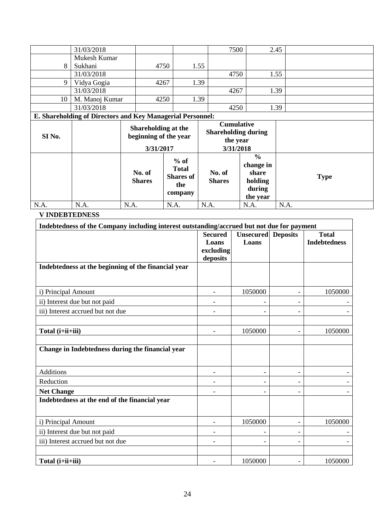| 8<br>9            | 31/03/2018<br>Mukesh Kumar<br>Sukhani<br>31/03/2018<br>Vidya Gogia |                         | 4750<br>4267 |                                              | 1.55<br>1.39 | 7500<br>4750                                                             |                                        | 2.45<br>1.55 |             |
|-------------------|--------------------------------------------------------------------|-------------------------|--------------|----------------------------------------------|--------------|--------------------------------------------------------------------------|----------------------------------------|--------------|-------------|
| 10                | 31/03/2018<br>M. Manoj Kumar<br>31/03/2018                         |                         | 4250         |                                              | 1.39         | 4267<br>4250                                                             |                                        | 1.39<br>1.39 |             |
|                   | E. Shareholding of Directors and Key Managerial Personnel:         |                         |              |                                              |              |                                                                          |                                        |              |             |
| SI <sub>No.</sub> |                                                                    |                         | 3/31/2017    | Shareholding at the<br>beginning of the year |              | <b>Cumulative</b><br><b>Shareholding during</b><br>the year<br>3/31/2018 |                                        |              |             |
|                   |                                                                    |                         |              | $%$ of<br><b>Total</b>                       |              |                                                                          | $\frac{0}{0}$<br>change in             |              |             |
|                   |                                                                    | No. of<br><b>Shares</b> |              | <b>Shares of</b><br>the<br>company           |              | No. of<br><b>Shares</b>                                                  | share<br>holding<br>during<br>the year |              | <b>Type</b> |

#### **V INDEBTEDNESS**

| Indebtedness of the Company including interest outstanding/accrued but not due for payment |                                                  |                                    |                              |                                     |  |  |  |
|--------------------------------------------------------------------------------------------|--------------------------------------------------|------------------------------------|------------------------------|-------------------------------------|--|--|--|
|                                                                                            | <b>Secured</b><br>Loans<br>excluding<br>deposits | <b>Unsecured</b> Deposits<br>Loans |                              | <b>Total</b><br><b>Indebtedness</b> |  |  |  |
| Indebtedness at the beginning of the financial year                                        |                                                  |                                    |                              |                                     |  |  |  |
| i) Principal Amount                                                                        |                                                  | 1050000                            | -                            | 1050000                             |  |  |  |
| ii) Interest due but not paid                                                              |                                                  |                                    | $\qquad \qquad -$            |                                     |  |  |  |
| iii) Interest accrued but not due                                                          |                                                  |                                    | $\qquad \qquad -$            |                                     |  |  |  |
| Total (i+ii+iii)                                                                           |                                                  | 1050000                            | $\qquad \qquad -$            | 1050000                             |  |  |  |
| Change in Indebtedness during the financial year                                           |                                                  |                                    |                              |                                     |  |  |  |
| Additions                                                                                  |                                                  | ۳                                  | $\overline{\phantom{0}}$     |                                     |  |  |  |
| Reduction                                                                                  | $\overline{\phantom{a}}$                         | $\overline{\phantom{0}}$           | $\overline{\phantom{0}}$     |                                     |  |  |  |
| <b>Net Change</b>                                                                          |                                                  | $\overline{\phantom{0}}$           | $\overline{\phantom{0}}$     |                                     |  |  |  |
| Indebtedness at the end of the financial year                                              |                                                  |                                    |                              |                                     |  |  |  |
| i) Principal Amount                                                                        |                                                  | 1050000                            |                              | 1050000                             |  |  |  |
| ii) Interest due but not paid                                                              |                                                  |                                    |                              |                                     |  |  |  |
| iii) Interest accrued but not due                                                          |                                                  |                                    |                              |                                     |  |  |  |
| Total (i+ii+iii)                                                                           |                                                  | 1050000                            | $\qquad \qquad \blacksquare$ | 1050000                             |  |  |  |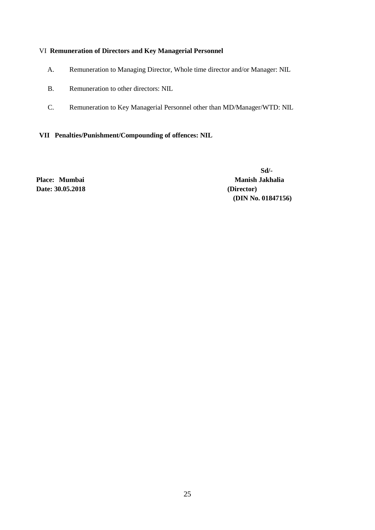#### VI **Remuneration of Directors and Key Managerial Personnel**

- A. Remuneration to Managing Director, Whole time director and/or Manager: NIL
- B. Remuneration to other directors: NIL
- C. Remuneration to Key Managerial Personnel other than MD/Manager/WTD: NIL

**VII Penalties/Punishment/Compounding of offences: NIL**

**Date: 30.05.2018 (Director)**

 **Sd/-** Place: Mumbai Manish Jakhalia  **(DIN No[. 01847156\)](http://www.mca.gov.in/mcafoportal/companyLLPMasterData.do)**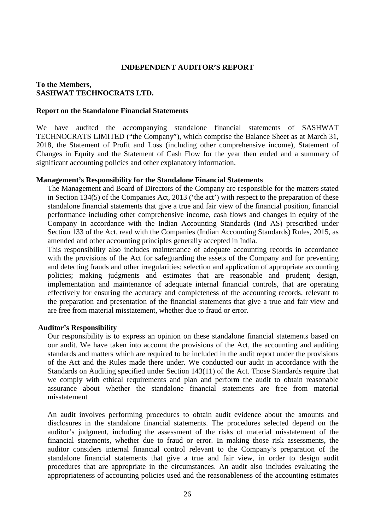#### **INDEPENDENT AUDITOR'S REPORT**

#### **To the Members, SASHWAT TECHNOCRATS LTD.**

#### **Report on the Standalone Financial Statements**

We have audited the accompanying standalone financial statements of SASHWAT TECHNOCRATS LIMITED ("the Company"), which comprise the Balance Sheet as at March 31, 2018, the Statement of Profit and Loss (including other comprehensive income), Statement of Changes in Equity and the Statement of Cash Flow for the year then ended and a summary of significant accounting policies and other explanatory information.

#### **Management's Responsibility for the Standalone Financial Statements**

The Management and Board of Directors of the Company are responsible for the matters stated in Section 134(5) of the Companies Act, 2013 ('the act') with respect to the preparation of these standalone financial statements that give a true and fair view of the financial position, financial performance including other comprehensive income, cash flows and changes in equity of the Company in accordance with the Indian Accounting Standards (Ind AS) prescribed under Section 133 of the Act, read with the Companies (Indian Accounting Standards) Rules, 2015, as amended and other accounting principles generally accepted in India.

This responsibility also includes maintenance of adequate accounting records in accordance with the provisions of the Act for safeguarding the assets of the Company and for preventing and detecting frauds and other irregularities; selection and application of appropriate accounting policies; making judgments and estimates that are reasonable and prudent; design, implementation and maintenance of adequate internal financial controls, that are operating effectively for ensuring the accuracy and completeness of the accounting records, relevant to the preparation and presentation of the financial statements that give a true and fair view and are free from material misstatement, whether due to fraud or error.

#### **Auditor's Responsibility**

Our responsibility is to express an opinion on these standalone financial statements based on our audit. We have taken into account the provisions of the Act, the accounting and auditing standards and matters which are required to be included in the audit report under the provisions of the Act and the Rules made there under. We conducted our audit in accordance with the Standards on Auditing specified under Section 143(11) of the Act. Those Standards require that we comply with ethical requirements and plan and perform the audit to obtain reasonable assurance about whether the standalone financial statements are free from material misstatement

An audit involves performing procedures to obtain audit evidence about the amounts and disclosures in the standalone financial statements. The procedures selected depend on the auditor's judgment, including the assessment of the risks of material misstatement of the financial statements, whether due to fraud or error. In making those risk assessments, the auditor considers internal financial control relevant to the Company's preparation of the standalone financial statements that give a true and fair view, in order to design audit procedures that are appropriate in the circumstances. An audit also includes evaluating the appropriateness of accounting policies used and the reasonableness of the accounting estimates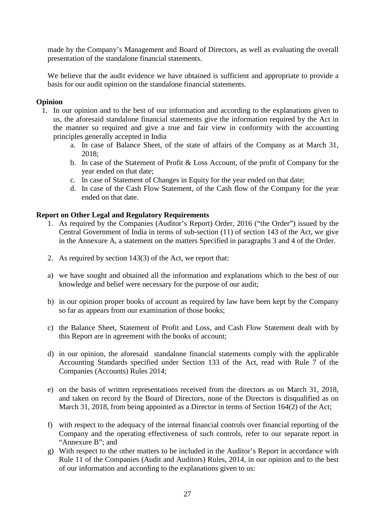made by the Company's Management and Board of Directors, as well as evaluating the overall presentation of the standalone financial statements.

We believe that the audit evidence we have obtained is sufficient and appropriate to provide a basis for our audit opinion on the standalone financial statements.

#### **Opinion**

- 1. In our opinion and to the best of our information and according to the explanations given to us, the aforesaid standalone financial statements give the information required by the Act in the manner so required and give a true and fair view in conformity with the accounting principles generally accepted in India
	- a. In case of Balance Sheet, of the state of affairs of the Company as at March 31, 2018;
	- b. In case of the Statement of Profit & Loss Account, of the profit of Company for the year ended on that date;
	- c. In case of Statement of Changes in Equity for the year ended on that date;
	- d. In case of the Cash Flow Statement, of the Cash flow of the Company for the year ended on that date.

#### **Report on Other Legal and Regulatory Requirements**

- 1. As required by the Companies (Auditor's Report) Order, 2016 ("the Order") issued by the Central Government of India in terms of sub-section (11) of section 143 of the Act, we give in the Annexure A, a statement on the matters Specified in paragraphs 3 and 4 of the Order.
- 2. As required by section 143(3) of the Act, we report that:
- a) we have sought and obtained all the information and explanations which to the best of our knowledge and belief were necessary for the purpose of our audit;
- b) in our opinion proper books of account as required by law have been kept by the Company so far as appears from our examination of those books;
- c) the Balance Sheet, Statement of Profit and Loss, and Cash Flow Statement dealt with by this Report are in agreement with the books of account;
- d) in our opinion, the aforesaid standalone financial statements comply with the applicable Accounting Standards specified under Section 133 of the Act, read with Rule 7 of the Companies (Accounts) Rules 2014;
- e) on the basis of written representations received from the directors as on March 31, 2018, and taken on record by the Board of Directors, none of the Directors is disqualified as on March 31, 2018, from being appointed as a Director in terms of Section 164(2) of the Act;
- f) with respect to the adequacy of the internal financial controls over financial reporting of the Company and the operating effectiveness of such controls, refer to our separate report in "Annexure B"; and
- g) With respect to the other matters to be included in the Auditor's Report in accordance with Rule 11 of the Companies (Audit and Auditors) Rules, 2014, in our opinion and to the best of our information and according to the explanations given to us: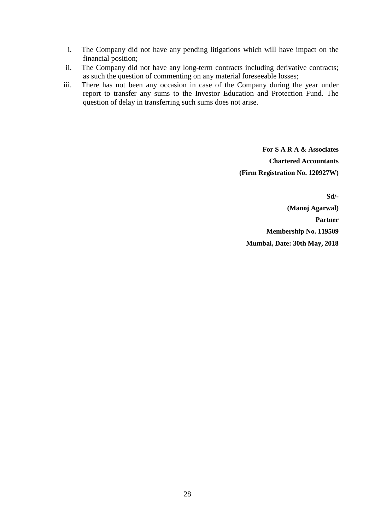- i. The Company did not have any pending litigations which will have impact on the financial position;
- ii. The Company did not have any long-term contracts including derivative contracts; as such the question of commenting on any material foreseeable losses;
- iii. There has not been any occasion in case of the Company during the year under report to transfer any sums to the Investor Education and Protection Fund. The question of delay in transferring such sums does not arise.

**For S A R A & Associates Chartered Accountants (Firm Registration No. 120927W)**

**Sd/-**

**(Manoj Agarwal) Partner Membership No. 119509 Mumbai, Date: 30th May, 2018**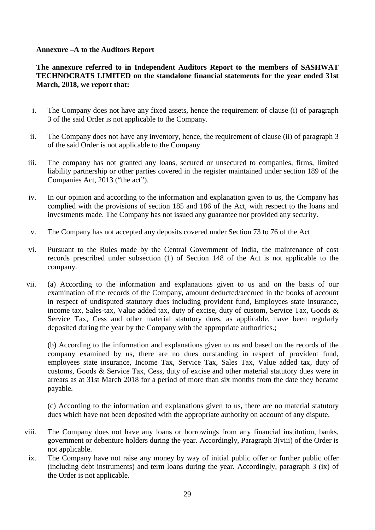#### **Annexure –A to the Auditors Report**

### **The annexure referred to in Independent Auditors Report to the members of SASHWAT TECHNOCRATS LIMITED on the standalone financial statements for the year ended 31st March, 2018, we report that:**

- i. The Company does not have any fixed assets, hence the requirement of clause (i) of paragraph 3 of the said Order is not applicable to the Company.
- ii. The Company does not have any inventory, hence, the requirement of clause (ii) of paragraph 3 of the said Order is not applicable to the Company
- iii. The company has not granted any loans, secured or unsecured to companies, firms, limited liability partnership or other parties covered in the register maintained under section 189 of the Companies Act, 2013 ("the act").
- iv. In our opinion and according to the information and explanation given to us, the Company has complied with the provisions of section 185 and 186 of the Act, with respect to the loans and investments made. The Company has not issued any guarantee nor provided any security.
- v. The Company has not accepted any deposits covered under Section 73 to 76 of the Act
- vi. Pursuant to the Rules made by the Central Government of India, the maintenance of cost records prescribed under subsection (1) of Section 148 of the Act is not applicable to the company.
- vii. (a) According to the information and explanations given to us and on the basis of our examination of the records of the Company, amount deducted/accrued in the books of account in respect of undisputed statutory dues including provident fund, Employees state insurance, income tax, Sales-tax, Value added tax, duty of excise, duty of custom, Service Tax, Goods & Service Tax, Cess and other material statutory dues, as applicable, have been regularly deposited during the year by the Company with the appropriate authorities.;

(b) According to the information and explanations given to us and based on the records of the company examined by us, there are no dues outstanding in respect of provident fund, employees state insurance, Income Tax, Service Tax, Sales Tax, Value added tax, duty of customs, Goods & Service Tax, Cess, duty of excise and other material statutory dues were in arrears as at 31st March 2018 for a period of more than six months from the date they became payable.

(c) According to the information and explanations given to us, there are no material statutory dues which have not been deposited with the appropriate authority on account of any dispute.

- viii. The Company does not have any loans or borrowings from any financial institution, banks, government or debenture holders during the year. Accordingly, Paragraph 3(viii) of the Order is not applicable.
- ix. The Company have not raise any money by way of initial public offer or further public offer (including debt instruments) and term loans during the year. Accordingly, paragraph 3 (ix) of the Order is not applicable.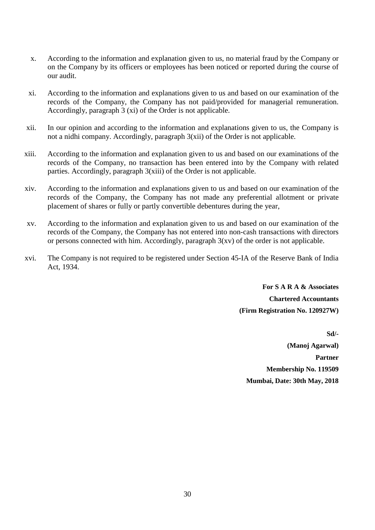- x. According to the information and explanation given to us, no material fraud by the Company or on the Company by its officers or employees has been noticed or reported during the course of our audit.
- xi. According to the information and explanations given to us and based on our examination of the records of the Company, the Company has not paid/provided for managerial remuneration. Accordingly, paragraph 3 (xi) of the Order is not applicable.
- xii. In our opinion and according to the information and explanations given to us, the Company is not a nidhi company. Accordingly, paragraph 3(xii) of the Order is not applicable.
- xiii. According to the information and explanation given to us and based on our examinations of the records of the Company, no transaction has been entered into by the Company with related parties. Accordingly, paragraph 3(xiii) of the Order is not applicable.
- xiv. According to the information and explanations given to us and based on our examination of the records of the Company, the Company has not made any preferential allotment or private placement of shares or fully or partly convertible debentures during the year,
- xv. According to the information and explanation given to us and based on our examination of the records of the Company, the Company has not entered into non-cash transactions with directors or persons connected with him. Accordingly, paragraph 3(xv) of the order is not applicable.
- xvi. The Company is not required to be registered under Section 45-IA of the Reserve Bank of India Act, 1934.

**For S A R A & Associates Chartered Accountants (Firm Registration No. 120927W)**

**Sd/- (Manoj Agarwal) Partner Membership No. 119509 Mumbai, Date: 30th May, 2018**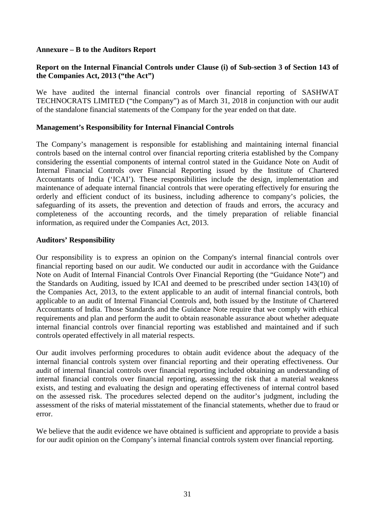#### **Annexure – B to the Auditors Report**

### **Report on the Internal Financial Controls under Clause (i) of Sub-section 3 of Section 143 of the Companies Act, 2013 ("the Act")**

We have audited the internal financial controls over financial reporting of SASHWAT TECHNOCRATS LIMITED ("the Company") as of March 31, 2018 in conjunction with our audit of the standalone financial statements of the Company for the year ended on that date.

#### **Management's Responsibility for Internal Financial Controls**

The Company's management is responsible for establishing and maintaining internal financial controls based on the internal control over financial reporting criteria established by the Company considering the essential components of internal control stated in the Guidance Note on Audit of Internal Financial Controls over Financial Reporting issued by the Institute of Chartered Accountants of India ('ICAI'). These responsibilities include the design, implementation and maintenance of adequate internal financial controls that were operating effectively for ensuring the orderly and efficient conduct of its business, including adherence to company's policies, the safeguarding of its assets, the prevention and detection of frauds and errors, the accuracy and completeness of the accounting records, and the timely preparation of reliable financial information, as required under the Companies Act, 2013.

#### **Auditors' Responsibility**

Our responsibility is to express an opinion on the Company's internal financial controls over financial reporting based on our audit. We conducted our audit in accordance with the Guidance Note on Audit of Internal Financial Controls Over Financial Reporting (the "Guidance Note") and the Standards on Auditing, issued by ICAI and deemed to be prescribed under section 143(10) of the Companies Act, 2013, to the extent applicable to an audit of internal financial controls, both applicable to an audit of Internal Financial Controls and, both issued by the Institute of Chartered Accountants of India. Those Standards and the Guidance Note require that we comply with ethical requirements and plan and perform the audit to obtain reasonable assurance about whether adequate internal financial controls over financial reporting was established and maintained and if such controls operated effectively in all material respects.

Our audit involves performing procedures to obtain audit evidence about the adequacy of the internal financial controls system over financial reporting and their operating effectiveness. Our audit of internal financial controls over financial reporting included obtaining an understanding of internal financial controls over financial reporting, assessing the risk that a material weakness exists, and testing and evaluating the design and operating effectiveness of internal control based on the assessed risk. The procedures selected depend on the auditor's judgment, including the assessment of the risks of material misstatement of the financial statements, whether due to fraud or error.

We believe that the audit evidence we have obtained is sufficient and appropriate to provide a basis for our audit opinion on the Company's internal financial controls system over financial reporting.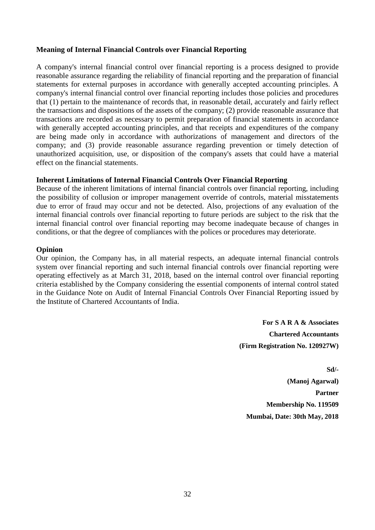#### **Meaning of Internal Financial Controls over Financial Reporting**

A company's internal financial control over financial reporting is a process designed to provide reasonable assurance regarding the reliability of financial reporting and the preparation of financial statements for external purposes in accordance with generally accepted accounting principles. A company's internal financial control over financial reporting includes those policies and procedures that (1) pertain to the maintenance of records that, in reasonable detail, accurately and fairly reflect the transactions and dispositions of the assets of the company; (2) provide reasonable assurance that transactions are recorded as necessary to permit preparation of financial statements in accordance with generally accepted accounting principles, and that receipts and expenditures of the company are being made only in accordance with authorizations of management and directors of the company; and (3) provide reasonable assurance regarding prevention or timely detection of unauthorized acquisition, use, or disposition of the company's assets that could have a material effect on the financial statements.

#### **Inherent Limitations of Internal Financial Controls Over Financial Reporting**

Because of the inherent limitations of internal financial controls over financial reporting, including the possibility of collusion or improper management override of controls, material misstatements due to error of fraud may occur and not be detected. Also, projections of any evaluation of the internal financial controls over financial reporting to future periods are subject to the risk that the internal financial control over financial reporting may become inadequate because of changes in conditions, or that the degree of compliances with the polices or procedures may deteriorate.

#### **Opinion**

Our opinion, the Company has, in all material respects, an adequate internal financial controls system over financial reporting and such internal financial controls over financial reporting were operating effectively as at March 31, 2018, based on the internal control over financial reporting criteria established by the Company considering the essential components of internal control stated in the Guidance Note on Audit of Internal Financial Controls Over Financial Reporting issued by the Institute of Chartered Accountants of India.

> **For S A R A & Associates Chartered Accountants (Firm Registration No. 120927W)**

**Sd/- (Manoj Agarwal) Partner Membership No. 119509 Mumbai, Date: 30th May, 2018**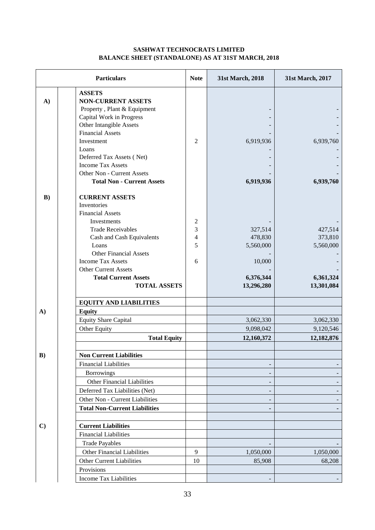#### **SASHWAT TECHNOCRATS LIMITED BALANCE SHEET (STANDALONE) AS AT 31ST MARCH, 2018**

|              | <b>Particulars</b>                                                                                                                                                                                                                           | <b>Note</b>                                  | 31st March, 2018                          | 31st March, 2017                     |
|--------------|----------------------------------------------------------------------------------------------------------------------------------------------------------------------------------------------------------------------------------------------|----------------------------------------------|-------------------------------------------|--------------------------------------|
| $\mathbf{A}$ | <b>ASSETS</b><br><b>NON-CURRENT ASSETS</b><br>Property, Plant & Equipment<br>Capital Work in Progress<br>Other Intangible Assets<br><b>Financial Assets</b>                                                                                  |                                              |                                           |                                      |
|              | Investment<br>Loans<br>Deferred Tax Assets (Net)<br><b>Income Tax Assets</b><br>Other Non - Current Assets<br><b>Total Non - Current Assets</b>                                                                                              | $\overline{2}$                               | 6,919,936<br>6,919,936                    | 6,939,760<br>6,939,760               |
| $\bf{B}$ )   | <b>CURRENT ASSETS</b><br>Inventories<br><b>Financial Assets</b><br>Investments<br><b>Trade Receivables</b><br>Cash and Cash Equivalents<br>Loans<br><b>Other Financial Assets</b><br><b>Income Tax Assets</b><br><b>Other Current Assets</b> | 2<br>3<br>$\overline{\mathcal{L}}$<br>5<br>6 | 327,514<br>478,830<br>5,560,000<br>10,000 | 427,514<br>373,810<br>5,560,000      |
|              | <b>Total Current Assets</b><br><b>TOTAL ASSETS</b>                                                                                                                                                                                           |                                              | 6,376,344<br>13,296,280                   | 6,361,324<br>13,301,084              |
| A)           | <b>EQUITY AND LIABILITIES</b><br><b>Equity</b><br><b>Equity Share Capital</b><br>Other Equity<br><b>Total Equity</b>                                                                                                                         |                                              | 3,062,330<br>9,098,042<br>12,160,372      | 3,062,330<br>9,120,546<br>12,182,876 |
| $\bf{B})$    | <b>Non Current Liabilities</b><br><b>Financial Liabilities</b><br><b>Borrowings</b><br>Other Financial Liabilities<br>Deferred Tax Liabilities (Net)<br>Other Non - Current Liabilities<br><b>Total Non-Current Liabilities</b>              |                                              |                                           |                                      |
| $\mathbf{C}$ | <b>Current Liabilities</b><br><b>Financial Liabilities</b><br><b>Trade Payables</b><br>Other Financial Liabilities<br>Other Current Liabilities<br>Provisions<br><b>Income Tax Liabilities</b>                                               | $\overline{9}$<br>10                         | 1,050,000<br>85,908                       | 1,050,000<br>68,208                  |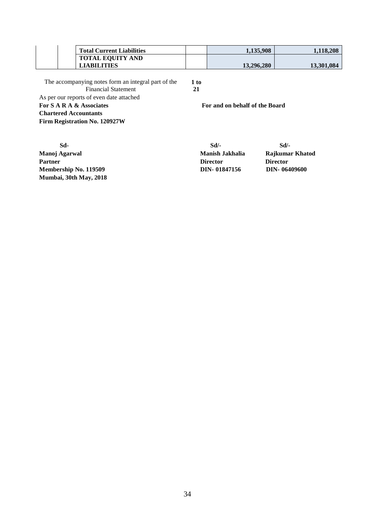| <b>Total Current Liabilities</b> | 1.135.908  | 1.118.208  |
|----------------------------------|------------|------------|
| <b>TOTAL EQUITY AND</b>          |            |            |
| <b>LIABILITIES</b>               | 13.296.280 | 13.301.084 |
|                                  |            |            |

| The accompanying notes form an integral part of the | 1 to                           |
|-----------------------------------------------------|--------------------------------|
| <b>Financial Statement</b>                          | 21                             |
| As per our reports of even date attached            |                                |
| For S A R A & Associates                            | For and on behalf of the Board |
| <b>Chartered Accountants</b>                        |                                |
| Firm Registration No. 120927W                       |                                |

 **Sd- Sd/- Sd/- Manoj Agarwal Manish Jakhalia Rajkumar Khatod** Partner Director Director Director Director Director Director Director Director Director Director Director Director Director Director Director Director Director Director Director Director Director Director Director Directo **Membership No. 119509 DIN-** 01847156 **Mumbai, 30th May, 2018**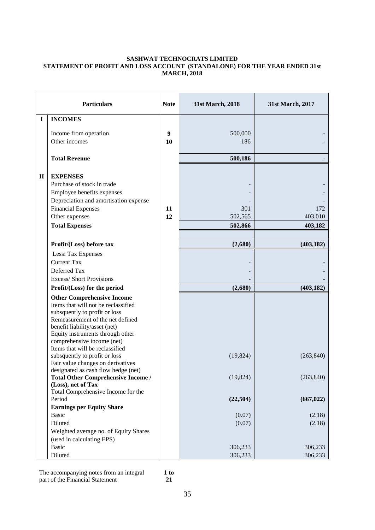#### **SASHWAT TECHNOCRATS LIMITED STATEMENT OF PROFIT AND LOSS ACCOUNT (STANDALONE) FOR THE YEAR ENDED 31st MARCH, 2018**

|              | <b>Particulars</b>                                                                                                                                                                                                                                                                                                                                        | <b>Note</b> | 31st March, 2018          | 31st March, 2017          |
|--------------|-----------------------------------------------------------------------------------------------------------------------------------------------------------------------------------------------------------------------------------------------------------------------------------------------------------------------------------------------------------|-------------|---------------------------|---------------------------|
| $\mathbf I$  | <b>INCOMES</b>                                                                                                                                                                                                                                                                                                                                            |             |                           |                           |
|              | Income from operation<br>Other incomes                                                                                                                                                                                                                                                                                                                    | 9<br>10     | 500,000<br>186            |                           |
|              | <b>Total Revenue</b>                                                                                                                                                                                                                                                                                                                                      |             | 500,186                   |                           |
| $\mathbf{I}$ | <b>EXPENSES</b><br>Purchase of stock in trade<br>Employee benefits expenses<br>Depreciation and amortisation expense<br><b>Financial Expenses</b><br>Other expenses<br><b>Total Expenses</b>                                                                                                                                                              | 11<br>12    | 301<br>502,565<br>502,866 | 172<br>403,010<br>403,182 |
|              |                                                                                                                                                                                                                                                                                                                                                           |             |                           |                           |
|              | Profit/(Loss) before tax                                                                                                                                                                                                                                                                                                                                  |             | (2,680)                   | (403, 182)                |
|              | Less: Tax Expenses<br><b>Current Tax</b>                                                                                                                                                                                                                                                                                                                  |             |                           |                           |
|              | Deferred Tax                                                                                                                                                                                                                                                                                                                                              |             |                           |                           |
|              | <b>Excess/Short Provisions</b>                                                                                                                                                                                                                                                                                                                            |             |                           |                           |
|              | Profit/(Loss) for the period                                                                                                                                                                                                                                                                                                                              |             | (2,680)                   | (403, 182)                |
|              | <b>Other Comprehensive Income</b><br>Items that will not be reclassified<br>subsquently to profit or loss<br>Remeasurement of the net defined<br>benefit liability/asset (net)<br>Equity instruments through other<br>comprehensive income (net)<br>Items that will be reclassified<br>subsquently to profit or loss<br>Fair value changes on derivatives |             | (19, 824)                 | (263, 840)                |
|              | designated as cash flow hedge (net)<br><b>Total Other Comprehensive Income /</b><br>(Loss), net of Tax<br>Total Comprehensive Income for the                                                                                                                                                                                                              |             | (19, 824)                 | (263, 840)                |
|              | Period                                                                                                                                                                                                                                                                                                                                                    |             | (22, 504)                 | (667, 022)                |
|              | <b>Earnings per Equity Share</b><br><b>Basic</b>                                                                                                                                                                                                                                                                                                          |             |                           |                           |
|              | Diluted                                                                                                                                                                                                                                                                                                                                                   |             | (0.07)<br>(0.07)          | (2.18)<br>(2.18)          |
|              | Weighted average no. of Equity Shares<br>(used in calculating EPS)                                                                                                                                                                                                                                                                                        |             |                           |                           |
|              | <b>Basic</b>                                                                                                                                                                                                                                                                                                                                              |             | 306,233                   | 306,233                   |
|              | Diluted                                                                                                                                                                                                                                                                                                                                                   |             | 306,233                   | 306,233                   |

The accompanying notes from an integral part of the Financial Statement

**1 to 21**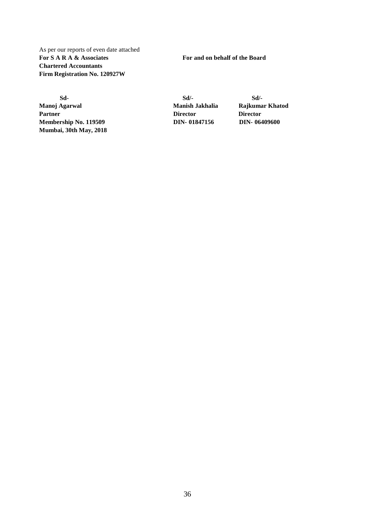As per our reports of even date attached **For S A R A & Associates For and on behalf of the Board Chartered Accountants Firm Registration No. 120927W**

 **Sd- Sd/- Sd/- Manoj Agarwal Manish Jakhalia Rajkumar Khatod** Partner Director **Director** Director **Membership No. 119509 DIN- [01847156](http://www.mca.gov.in/mcafoportal/companyLLPMasterData.do) DIN- [06409600](http://www.mca.gov.in/mcafoportal/companyLLPMasterData.do) Mumbai, 30th May, 2018**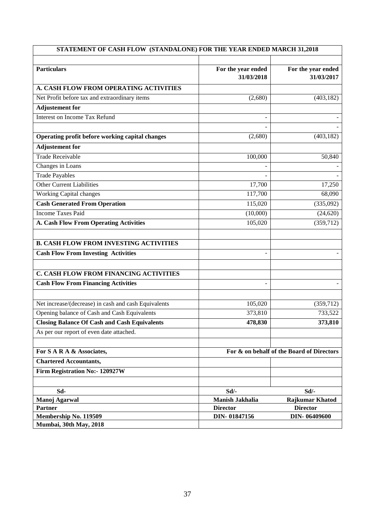| STATEMENT OF CASH FLOW (STANDALONE) FOR THE YEAR ENDED MARCH 31,2018                            |                                  |                                           |  |
|-------------------------------------------------------------------------------------------------|----------------------------------|-------------------------------------------|--|
|                                                                                                 |                                  |                                           |  |
| <b>Particulars</b>                                                                              | For the year ended<br>31/03/2018 | For the year ended<br>31/03/2017          |  |
| A. CASH FLOW FROM OPERATING ACTIVITIES                                                          |                                  |                                           |  |
| Net Profit before tax and extraordinary items                                                   | (2,680)                          | (403, 182)                                |  |
| <b>Adjustement</b> for                                                                          |                                  |                                           |  |
| <b>Interest on Income Tax Refund</b>                                                            |                                  |                                           |  |
| Operating profit before working capital changes                                                 | (2,680)                          | (403, 182)                                |  |
| <b>Adjustement</b> for                                                                          |                                  |                                           |  |
| <b>Trade Receivable</b>                                                                         | 100,000                          | 50,840                                    |  |
| Changes in Loans                                                                                |                                  |                                           |  |
| <b>Trade Payables</b>                                                                           |                                  |                                           |  |
| <b>Other Current Liabilities</b>                                                                | 17,700                           | 17,250                                    |  |
| <b>Working Capital changes</b>                                                                  | 117,700                          | 68,090                                    |  |
| <b>Cash Generated From Operation</b>                                                            | 115,020                          | (335,092)                                 |  |
| <b>Income Taxes Paid</b>                                                                        | (10,000)                         | (24, 620)                                 |  |
| <b>A. Cash Flow From Operating Activities</b>                                                   | 105,020                          | (359, 712)                                |  |
|                                                                                                 |                                  |                                           |  |
| <b>B. CASH FLOW FROM INVESTING ACTIVITIES</b>                                                   |                                  |                                           |  |
| <b>Cash Flow From Investing Activities</b>                                                      |                                  |                                           |  |
|                                                                                                 |                                  |                                           |  |
| C. CASH FLOW FROM FINANCING ACTIVITIES                                                          |                                  |                                           |  |
| <b>Cash Flow From Financing Activities</b>                                                      |                                  |                                           |  |
|                                                                                                 |                                  |                                           |  |
| Net increase/(decrease) in cash and cash Equivalents                                            | 105,020                          | (359, 712)                                |  |
| Opening balance of Cash and Cash Equivalents                                                    | 373,810                          | 733,522                                   |  |
| <b>Closing Balance Of Cash and Cash Equivalents</b><br>As per our report of even date attached. | 478,830                          | 373,810                                   |  |
|                                                                                                 |                                  |                                           |  |
| For S A R A & Associates,                                                                       |                                  | For & on behalf of the Board of Directors |  |
| <b>Chartered Accountants,</b>                                                                   |                                  |                                           |  |
| Firm Registration No:- 120927W                                                                  |                                  |                                           |  |
|                                                                                                 |                                  |                                           |  |
| Sd-                                                                                             | Sd/-                             | Sd/-                                      |  |
| Manoj Agarwal                                                                                   | Manish Jakhalia                  | <b>Rajkumar Khatod</b>                    |  |
| Partner                                                                                         | <b>Director</b>                  | <b>Director</b>                           |  |
| Membership No. 119509<br>Mumbai, 30th May, 2018                                                 | DIN-01847156                     | DIN-06409600                              |  |
|                                                                                                 |                                  |                                           |  |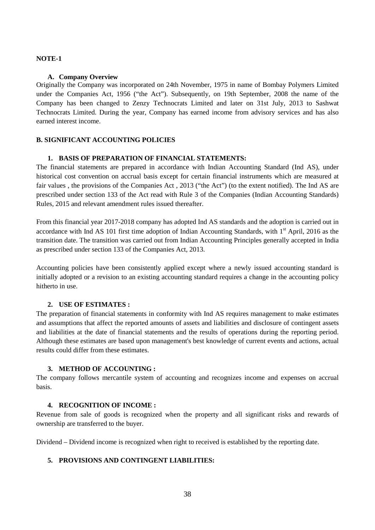#### **NOTE-1**

#### **A. Company Overview**

Originally the Company was incorporated on 24th November, 1975 in name of Bombay Polymers Limited under the Companies Act, 1956 ("the Act"). Subsequently, on 19th September, 2008 the name of the Company has been changed to Zenzy Technocrats Limited and later on 31st July, 2013 to Sashwat Technocrats Limited. During the year, Company has earned income from advisory services and has also earned interest income.

#### **B. SIGNIFICANT ACCOUNTING POLICIES**

#### **1. BASIS OF PREPARATION OF FINANCIAL STATEMENTS:**

The financial statements are prepared in accordance with Indian Accounting Standard (Ind AS), under historical cost convention on accrual basis except for certain financial instruments which are measured at fair values , the provisions of the Companies Act , 2013 ("the Act") (to the extent notified). The Ind AS are prescribed under section 133 of the Act read with Rule 3 of the Companies (Indian Accounting Standards) Rules, 2015 and relevant amendment rules issued thereafter.

From this financial year 2017-2018 company has adopted Ind AS standards and the adoption is carried out in accordance with Ind AS 101 first time adoption of Indian Accounting Standards, with 1<sup>st</sup> April, 2016 as the transition date. The transition was carried out from Indian Accounting Principles generally accepted in India as prescribed under section 133 of the Companies Act, 2013.

Accounting policies have been consistently applied except where a newly issued accounting standard is initially adopted or a revision to an existing accounting standard requires a change in the accounting policy hitherto in use.

#### **2. USE OF ESTIMATES :**

The preparation of financial statements in conformity with Ind AS requires management to make estimates and assumptions that affect the reported amounts of assets and liabilities and disclosure of contingent assets and liabilities at the date of financial statements and the results of operations during the reporting period. Although these estimates are based upon management's best knowledge of current events and actions, actual results could differ from these estimates.

#### **3. METHOD OF ACCOUNTING :**

The company follows mercantile system of accounting and recognizes income and expenses on accrual basis.

#### **4. RECOGNITION OF INCOME :**

Revenue from sale of goods is recognized when the property and all significant risks and rewards of ownership are transferred to the buyer.

Dividend – Dividend income is recognized when right to received is established by the reporting date.

#### **5. PROVISIONS AND CONTINGENT LIABILITIES:**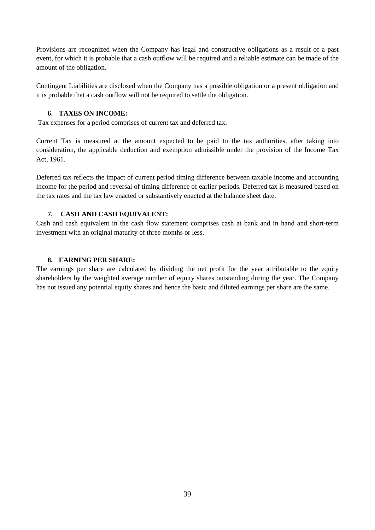Provisions are recognized when the Company has legal and constructive obligations as a result of a past event, for which it is probable that a cash outflow will be required and a reliable estimate can be made of the amount of the obligation.

Contingent Liabilities are disclosed when the Company has a possible obligation or a present obligation and it is probable that a cash outflow will not be required to settle the obligation.

#### **6. TAXES ON INCOME:**

Tax expenses for a period comprises of current tax and deferred tax.

Current Tax is measured at the amount expected to be paid to the tax authorities, after taking into consideration, the applicable deduction and exemption admissible under the provision of the Income Tax Act, 1961.

Deferred tax reflects the impact of current period timing difference between taxable income and accounting income for the period and reversal of timing difference of earlier periods. Deferred tax is measured based on the tax rates and the tax law enacted or substantively enacted at the balance sheet date.

#### **7. CASH AND CASH EQUIVALENT:**

Cash and cash equivalent in the cash flow statement comprises cash at bank and in hand and short-term investment with an original maturity of three months or less.

#### **8. EARNING PER SHARE:**

The earnings per share are calculated by dividing the net profit for the year attributable to the equity shareholders by the weighted average number of equity shares outstanding during the year. The Company has not issued any potential equity shares and hence the basic and diluted earnings per share are the same.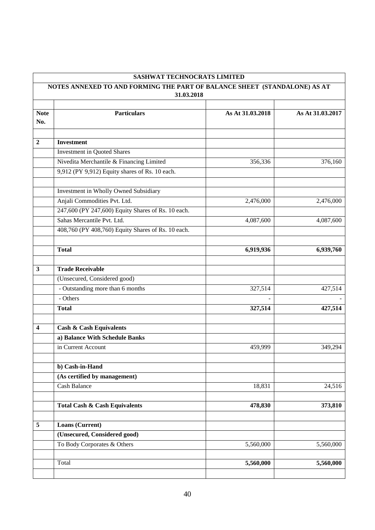| <b>SASHWAT TECHNOCRATS LIMITED</b><br>NOTES ANNEXED TO AND FORMING THE PART OF BALANCE SHEET (STANDALONE) AS AT |                                                    |                  |                  |  |
|-----------------------------------------------------------------------------------------------------------------|----------------------------------------------------|------------------|------------------|--|
|                                                                                                                 |                                                    |                  |                  |  |
|                                                                                                                 |                                                    |                  |                  |  |
| <b>Note</b><br>No.                                                                                              | <b>Particulars</b>                                 | As At 31.03.2018 | As At 31.03.2017 |  |
|                                                                                                                 |                                                    |                  |                  |  |
| $\overline{2}$                                                                                                  | <b>Investment</b>                                  |                  |                  |  |
|                                                                                                                 | <b>Investment in Quoted Shares</b>                 |                  |                  |  |
|                                                                                                                 | Nivedita Merchantile & Financing Limited           | 356,336          | 376,160          |  |
|                                                                                                                 | 9,912 (PY 9,912) Equity shares of Rs. 10 each.     |                  |                  |  |
|                                                                                                                 |                                                    |                  |                  |  |
|                                                                                                                 | Investment in Wholly Owned Subsidiary              |                  |                  |  |
|                                                                                                                 | Anjali Commodities Pvt. Ltd.                       | 2,476,000        | 2,476,000        |  |
|                                                                                                                 | 247,600 (PY 247,600) Equity Shares of Rs. 10 each. |                  |                  |  |
|                                                                                                                 | Sahas Mercantile Pvt. Ltd.                         | 4,087,600        | 4,087,600        |  |
|                                                                                                                 | 408,760 (PY 408,760) Equity Shares of Rs. 10 each. |                  |                  |  |
|                                                                                                                 |                                                    |                  |                  |  |
|                                                                                                                 | <b>Total</b>                                       | 6,919,936        | 6,939,760        |  |
|                                                                                                                 |                                                    |                  |                  |  |
| 3                                                                                                               | <b>Trade Receivable</b>                            |                  |                  |  |
|                                                                                                                 | (Unsecured, Considered good)                       |                  |                  |  |
|                                                                                                                 | - Outstanding more than 6 months                   | 327,514          | 427,514          |  |
|                                                                                                                 | - Others                                           |                  |                  |  |
|                                                                                                                 | <b>Total</b>                                       | 327,514          | 427,514          |  |
|                                                                                                                 |                                                    |                  |                  |  |
| 4                                                                                                               | <b>Cash &amp; Cash Equivalents</b>                 |                  |                  |  |
|                                                                                                                 | a) Balance With Schedule Banks                     |                  |                  |  |
|                                                                                                                 | in Current Account                                 | 459,999          | 349,294          |  |
|                                                                                                                 |                                                    |                  |                  |  |
|                                                                                                                 | b) Cash-in-Hand                                    |                  |                  |  |
|                                                                                                                 | (As certified by management)                       |                  |                  |  |
|                                                                                                                 | <b>Cash Balance</b>                                | 18,831           | 24,516           |  |
|                                                                                                                 |                                                    |                  |                  |  |
|                                                                                                                 | <b>Total Cash &amp; Cash Equivalents</b>           | 478,830          | 373,810          |  |
| 5                                                                                                               | Loans (Current)                                    |                  |                  |  |
|                                                                                                                 | (Unsecured, Considered good)                       |                  |                  |  |
|                                                                                                                 | To Body Corporates & Others                        | 5,560,000        | 5,560,000        |  |
|                                                                                                                 |                                                    |                  |                  |  |
|                                                                                                                 | Total                                              | 5,560,000        | 5,560,000        |  |
|                                                                                                                 |                                                    |                  |                  |  |

## 40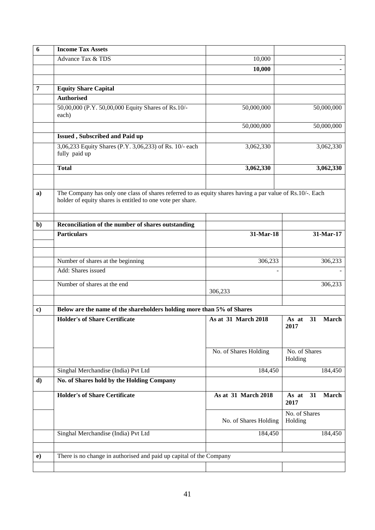| 6              | <b>Income Tax Assets</b>                                                                                                                                                |                       |                                     |
|----------------|-------------------------------------------------------------------------------------------------------------------------------------------------------------------------|-----------------------|-------------------------------------|
|                | Advance Tax & TDS                                                                                                                                                       | 10,000                |                                     |
|                |                                                                                                                                                                         | 10,000                |                                     |
|                |                                                                                                                                                                         |                       |                                     |
| $\overline{7}$ | <b>Equity Share Capital</b>                                                                                                                                             |                       |                                     |
|                | <b>Authorised</b>                                                                                                                                                       |                       |                                     |
|                | 50,00,000 (P.Y. 50,00,000 Equity Shares of Rs.10/-<br>each)                                                                                                             | 50,000,000            | 50,000,000                          |
|                |                                                                                                                                                                         | 50,000,000            | 50,000,000                          |
|                | Issued, Subscribed and Paid up                                                                                                                                          |                       |                                     |
|                | 3,06,233 Equity Shares (P.Y. 3,06,233) of Rs. 10/- each<br>fully paid up                                                                                                | 3,062,330             | 3,062,330                           |
|                | <b>Total</b>                                                                                                                                                            | 3,062,330             | 3,062,330                           |
|                |                                                                                                                                                                         |                       |                                     |
| $\mathbf{a}$   | The Company has only one class of shares referred to as equity shares having a par value of Rs.10/-. Each<br>holder of equity shares is entitled to one vote per share. |                       |                                     |
| $\mathbf{b}$   | Reconciliation of the number of shares outstanding                                                                                                                      |                       |                                     |
|                | <b>Particulars</b>                                                                                                                                                      | 31-Mar-18             | 31-Mar-17                           |
|                |                                                                                                                                                                         |                       |                                     |
|                | Number of shares at the beginning                                                                                                                                       | 306,233               | 306,233                             |
|                | Add: Shares issued                                                                                                                                                      |                       |                                     |
|                | Number of shares at the end                                                                                                                                             |                       | 306,233                             |
|                |                                                                                                                                                                         | 306,233               |                                     |
| $\bf c)$       | Below are the name of the shareholders holding more than 5% of Shares                                                                                                   |                       |                                     |
|                | <b>Holder's of Share Certificate</b>                                                                                                                                    | As at 31 March 2018   | 31<br><b>March</b><br>As at<br>2017 |
|                |                                                                                                                                                                         | No. of Shares Holding | No. of Shares<br>Holding            |
|                | Singhal Merchandise (India) Pvt Ltd                                                                                                                                     | 184,450               | 184,450                             |
| d)             | No. of Shares hold by the Holding Company                                                                                                                               |                       |                                     |
|                | <b>Holder's of Share Certificate</b>                                                                                                                                    | As at 31 March 2018   | March<br>As at<br>31                |
|                |                                                                                                                                                                         |                       | 2017                                |
|                |                                                                                                                                                                         | No. of Shares Holding | No. of Shares<br>Holding            |
|                | Singhal Merchandise (India) Pvt Ltd                                                                                                                                     | 184,450               | 184,450                             |
|                |                                                                                                                                                                         |                       |                                     |
| $\bf e)$       | There is no change in authorised and paid up capital of the Company                                                                                                     |                       |                                     |
|                |                                                                                                                                                                         |                       |                                     |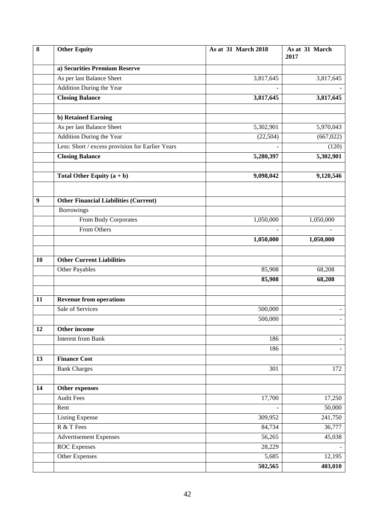| 8                | <b>Other Equity</b>                              | As at 31 March 2018 | As at 31 March<br>2017 |
|------------------|--------------------------------------------------|---------------------|------------------------|
|                  | a) Securities Premium Reserve                    |                     |                        |
|                  | As per last Balance Sheet                        | 3,817,645           | 3,817,645              |
|                  | Addition During the Year                         |                     |                        |
|                  | <b>Closing Balance</b>                           | 3,817,645           | 3,817,645              |
|                  |                                                  |                     |                        |
|                  | b) Retained Earning                              |                     |                        |
|                  | As per last Balance Sheet                        | 5,302,901           | 5,970,043              |
|                  | <b>Addition During the Year</b>                  | (22, 504)           | (667, 022)             |
|                  | Less: Short / excess provision for Earlier Years |                     | (120)                  |
|                  | <b>Closing Balance</b>                           | 5,280,397           | 5,302,901              |
|                  |                                                  |                     |                        |
|                  | Total Other Equity $(a + b)$                     | 9,098,042           | 9,120,546              |
|                  |                                                  |                     |                        |
| $\boldsymbol{9}$ | <b>Other Financial Liabilities (Current)</b>     |                     |                        |
|                  | <b>Borrowings</b>                                |                     |                        |
|                  | From Body Corporates                             | 1,050,000           | 1,050,000              |
|                  | From Others                                      |                     |                        |
|                  |                                                  | 1,050,000           | 1,050,000              |
|                  |                                                  |                     |                        |
| 10               | <b>Other Current Liabilities</b>                 |                     |                        |
|                  | Other Payables                                   | 85,908              | 68,208                 |
|                  |                                                  | 85,908              | 68,208                 |
| 11               | <b>Revenue from operations</b>                   |                     |                        |
|                  | Sale of Services                                 | 500,000             |                        |
|                  |                                                  | 500,000             | $\blacksquare$         |
| 12               | Other income                                     |                     |                        |
|                  | <b>Interest from Bank</b>                        | 186                 |                        |
|                  |                                                  | 186                 | $\blacksquare$         |
| 13               | <b>Finance Cost</b>                              |                     |                        |
|                  | <b>Bank Charges</b>                              | 301                 | 172                    |
|                  |                                                  |                     |                        |
| 14               | Other expenses                                   |                     |                        |
|                  | <b>Audit Fees</b>                                | 17,700              | 17,250                 |
|                  | Rent                                             |                     | 50,000                 |
|                  | <b>Listing Expense</b>                           | 309,952             | 241,750                |
|                  | R & T Fees                                       | 84,734              | 36,777                 |
|                  | <b>Advertisement Expenses</b>                    | 56,265              | 45,038                 |
|                  | <b>ROC</b> Expenses                              | 28,229              |                        |
|                  | Other Expenses                                   | 5,685               | 12,195                 |
|                  |                                                  | 502,565             | 403,010                |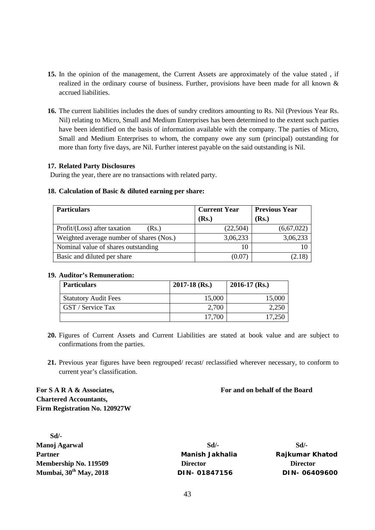- **15.** In the opinion of the management, the Current Assets are approximately of the value stated , if realized in the ordinary course of business. Further, provisions have been made for all known & accrued liabilities.
- **16.** The current liabilities includes the dues of sundry creditors amounting to Rs. Nil (Previous Year Rs. Nil) relating to Micro, Small and Medium Enterprises has been determined to the extent such parties have been identified on the basis of information available with the company. The parties of Micro, Small and Medium Enterprises to whom, the company owe any sum (principal) outstanding for more than forty five days, are Nil. Further interest payable on the said outstanding is Nil.

#### **17. Related Party Disclosures**

During the year, there are no transactions with related party.

#### **18. Calculation of Basic & diluted earning per share:**

| <b>Particulars</b>                       | <b>Current Year</b> | <b>Previous Year</b> |
|------------------------------------------|---------------------|----------------------|
|                                          | (Rs.)               | (Rs.)                |
| Profit/(Loss) after taxation<br>(Rs.)    | (22,504)            | (6,67,022)           |
| Weighted average number of shares (Nos.) | 3,06,233            | 3,06,233             |
| Nominal value of shares outstanding      | 10                  |                      |
| Basic and diluted per share              | (0.07)              | (2.18)               |

#### **19. Auditor's Remuneration:**

| <b>Particulars</b>          | $2017 - 18$ (Rs.) | $2016-17$ (Rs.) |
|-----------------------------|-------------------|-----------------|
| <b>Statutory Audit Fees</b> | 15,000            | 15,000          |
| GST / Service Tax           | 2,700             | 2,250           |
|                             | 17,700            | 17.250          |

- **20.** Figures of Current Assets and Current Liabilities are stated at book value and are subject to confirmations from the parties.
- **21.** Previous year figures have been regrouped/ recast/ reclassified wherever necessary, to conform to current year's classification.

**For S A R A & Associates, For and on behalf of the Board Chartered Accountants, Firm Registration No. 120927W**

| $Sd/-$                      |                        |                        |
|-----------------------------|------------------------|------------------------|
| Manoj Agarwal               | $Sd$ .                 | $Sd$ .                 |
| <b>Partner</b>              | <b>Manish Jakhalia</b> | <b>Rajkumar Khatod</b> |
| Membership No. 119509       | <b>Director</b>        | <b>Director</b>        |
| Mumbai, $30^{th}$ May, 2018 | DIN-01847156           | DIN-06409600           |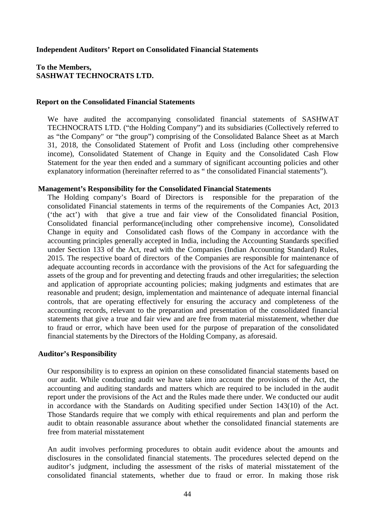#### **Independent Auditors' Report on Consolidated Financial Statements**

#### **To the Members, SASHWAT TECHNOCRATS LTD.**

#### **Report on the Consolidated Financial Statements**

We have audited the accompanying consolidated financial statements of SASHWAT TECHNOCRATS LTD. ("the Holding Company") and its subsidiaries (Collectively referred to as "the Company" or "the group") comprising of the Consolidated Balance Sheet as at March 31, 2018, the Consolidated Statement of Profit and Loss (including other comprehensive income), Consolidated Statement of Change in Equity and the Consolidated Cash Flow Statement for the year then ended and a summary of significant accounting policies and other explanatory information (hereinafter referred to as " the consolidated Financial statements").

#### **Management's Responsibility for the Consolidated Financial Statements**

The Holding company's Board of Directors is responsible for the preparation of the consolidated Financial statements in terms of the requirements of the Companies Act, 2013 ('the act') with that give a true and fair view of the Consolidated financial Position, Consolidated financial performance(including other comprehensive income), Consolidated Change in equity and Consolidated cash flows of the Company in accordance with the accounting principles generally accepted in India, including the Accounting Standards specified under Section 133 of the Act, read with the Companies (Indian Accounting Standard) Rules, 2015. The respective board of directors of the Companies are responsible for maintenance of adequate accounting records in accordance with the provisions of the Act for safeguarding the assets of the group and for preventing and detecting frauds and other irregularities; the selection and application of appropriate accounting policies; making judgments and estimates that are reasonable and prudent; design, implementation and maintenance of adequate internal financial controls, that are operating effectively for ensuring the accuracy and completeness of the accounting records, relevant to the preparation and presentation of the consolidated financial statements that give a true and fair view and are free from material misstatement, whether due to fraud or error, which have been used for the purpose of preparation of the consolidated financial statements by the Directors of the Holding Company, as aforesaid.

#### **Auditor's Responsibility**

Our responsibility is to express an opinion on these consolidated financial statements based on our audit. While conducting audit we have taken into account the provisions of the Act, the accounting and auditing standards and matters which are required to be included in the audit report under the provisions of the Act and the Rules made there under. We conducted our audit in accordance with the Standards on Auditing specified under Section 143(10) of the Act. Those Standards require that we comply with ethical requirements and plan and perform the audit to obtain reasonable assurance about whether the consolidated financial statements are free from material misstatement

An audit involves performing procedures to obtain audit evidence about the amounts and disclosures in the consolidated financial statements. The procedures selected depend on the auditor's judgment, including the assessment of the risks of material misstatement of the consolidated financial statements, whether due to fraud or error. In making those risk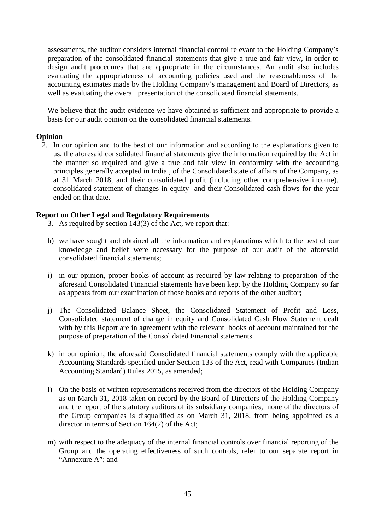assessments, the auditor considers internal financial control relevant to the Holding Company's preparation of the consolidated financial statements that give a true and fair view, in order to design audit procedures that are appropriate in the circumstances. An audit also includes evaluating the appropriateness of accounting policies used and the reasonableness of the accounting estimates made by the Holding Company's management and Board of Directors, as well as evaluating the overall presentation of the consolidated financial statements.

We believe that the audit evidence we have obtained is sufficient and appropriate to provide a basis for our audit opinion on the consolidated financial statements.

#### **Opinion**

2. In our opinion and to the best of our information and according to the explanations given to us, the aforesaid consolidated financial statements give the information required by the Act in the manner so required and give a true and fair view in conformity with the accounting principles generally accepted in India , of the Consolidated state of affairs of the Company, as at 31 March 2018, and their consolidated profit (including other comprehensive income), consolidated statement of changes in equity and their Consolidated cash flows for the year ended on that date.

#### **Report on Other Legal and Regulatory Requirements**

- 3. As required by section 143(3) of the Act, we report that:
- h) we have sought and obtained all the information and explanations which to the best of our knowledge and belief were necessary for the purpose of our audit of the aforesaid consolidated financial statements;
- i) in our opinion, proper books of account as required by law relating to preparation of the aforesaid Consolidated Financial statements have been kept by the Holding Company so far as appears from our examination of those books and reports of the other auditor;
- j) The Consolidated Balance Sheet, the Consolidated Statement of Profit and Loss, Consolidated statement of change in equity and Consolidated Cash Flow Statement dealt with by this Report are in agreement with the relevant books of account maintained for the purpose of preparation of the Consolidated Financial statements.
- k) in our opinion, the aforesaid Consolidated financial statements comply with the applicable Accounting Standards specified under Section 133 of the Act, read with Companies (Indian Accounting Standard) Rules 2015, as amended;
- l) On the basis of written representations received from the directors of the Holding Company as on March 31, 2018 taken on record by the Board of Directors of the Holding Company and the report of the statutory auditors of its subsidiary companies, none of the directors of the Group companies is disqualified as on March 31, 2018, from being appointed as a director in terms of Section 164(2) of the Act;
- m) with respect to the adequacy of the internal financial controls over financial reporting of the Group and the operating effectiveness of such controls, refer to our separate report in "Annexure A"; and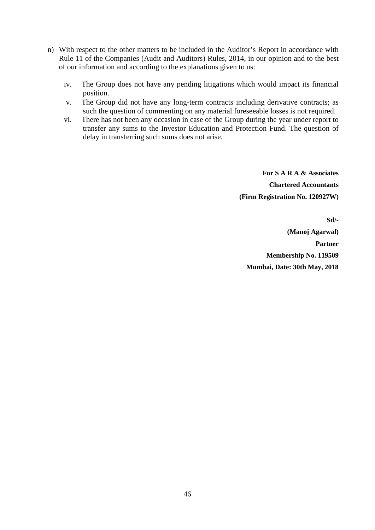- n) With respect to the other matters to be included in the Auditor's Report in accordance with Rule 11 of the Companies (Audit and Auditors) Rules, 2014, in our opinion and to the best of our information and according to the explanations given to us:
	- iv. The Group does not have any pending litigations which would impact its financial position.
	- v. The Group did not have any long-term contracts including derivative contracts; as such the question of commenting on any material foreseeable losses is not required.
	- vi. There has not been any occasion in case of the Group during the year under report to transfer any sums to the Investor Education and Protection Fund. The question of delay in transferring such sums does not arise.

**For S A R A & Associates Chartered Accountants (Firm Registration No. 120927W)**

**Sd/- (Manoj Agarwal) Partner Membership No. 119509 Mumbai, Date: 30th May, 2018**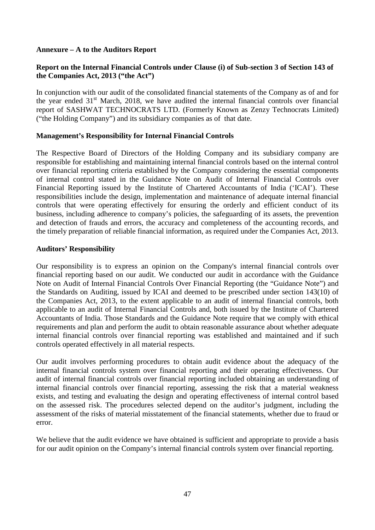#### **Annexure – A to the Auditors Report**

### **Report on the Internal Financial Controls under Clause (i) of Sub-section 3 of Section 143 of the Companies Act, 2013 ("the Act")**

In conjunction with our audit of the consolidated financial statements of the Company as of and for the year ended  $31<sup>st</sup>$  March, 2018, we have audited the internal financial controls over financial report of SASHWAT TECHNOCRATS LTD. (Formerly Known as Zenzy Technocrats Limited) ("the Holding Company") and its subsidiary companies as of that date.

#### **Management's Responsibility for Internal Financial Controls**

The Respective Board of Directors of the Holding Company and its subsidiary company are responsible for establishing and maintaining internal financial controls based on the internal control over financial reporting criteria established by the Company considering the essential components of internal control stated in the Guidance Note on Audit of Internal Financial Controls over Financial Reporting issued by the Institute of Chartered Accountants of India ('ICAI'). These responsibilities include the design, implementation and maintenance of adequate internal financial controls that were operating effectively for ensuring the orderly and efficient conduct of its business, including adherence to company's policies, the safeguarding of its assets, the prevention and detection of frauds and errors, the accuracy and completeness of the accounting records, and the timely preparation of reliable financial information, as required under the Companies Act, 2013.

#### **Auditors' Responsibility**

Our responsibility is to express an opinion on the Company's internal financial controls over financial reporting based on our audit. We conducted our audit in accordance with the Guidance Note on Audit of Internal Financial Controls Over Financial Reporting (the "Guidance Note") and the Standards on Auditing, issued by ICAI and deemed to be prescribed under section 143(10) of the Companies Act, 2013, to the extent applicable to an audit of internal financial controls, both applicable to an audit of Internal Financial Controls and, both issued by the Institute of Chartered Accountants of India. Those Standards and the Guidance Note require that we comply with ethical requirements and plan and perform the audit to obtain reasonable assurance about whether adequate internal financial controls over financial reporting was established and maintained and if such controls operated effectively in all material respects.

Our audit involves performing procedures to obtain audit evidence about the adequacy of the internal financial controls system over financial reporting and their operating effectiveness. Our audit of internal financial controls over financial reporting included obtaining an understanding of internal financial controls over financial reporting, assessing the risk that a material weakness exists, and testing and evaluating the design and operating effectiveness of internal control based on the assessed risk. The procedures selected depend on the auditor's judgment, including the assessment of the risks of material misstatement of the financial statements, whether due to fraud or error.

We believe that the audit evidence we have obtained is sufficient and appropriate to provide a basis for our audit opinion on the Company's internal financial controls system over financial reporting.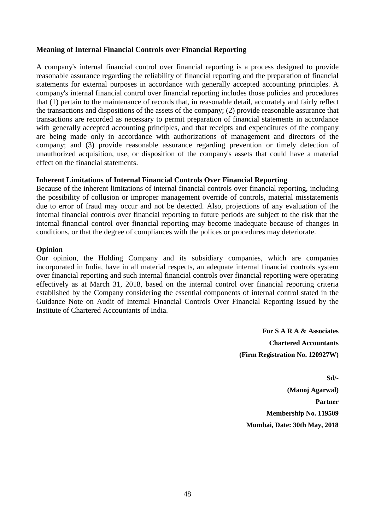#### **Meaning of Internal Financial Controls over Financial Reporting**

A company's internal financial control over financial reporting is a process designed to provide reasonable assurance regarding the reliability of financial reporting and the preparation of financial statements for external purposes in accordance with generally accepted accounting principles. A company's internal financial control over financial reporting includes those policies and procedures that (1) pertain to the maintenance of records that, in reasonable detail, accurately and fairly reflect the transactions and dispositions of the assets of the company; (2) provide reasonable assurance that transactions are recorded as necessary to permit preparation of financial statements in accordance with generally accepted accounting principles, and that receipts and expenditures of the company are being made only in accordance with authorizations of management and directors of the company; and (3) provide reasonable assurance regarding prevention or timely detection of unauthorized acquisition, use, or disposition of the company's assets that could have a material effect on the financial statements.

#### **Inherent Limitations of Internal Financial Controls Over Financial Reporting**

Because of the inherent limitations of internal financial controls over financial reporting, including the possibility of collusion or improper management override of controls, material misstatements due to error of fraud may occur and not be detected. Also, projections of any evaluation of the internal financial controls over financial reporting to future periods are subject to the risk that the internal financial control over financial reporting may become inadequate because of changes in conditions, or that the degree of compliances with the polices or procedures may deteriorate.

#### **Opinion**

Our opinion, the Holding Company and its subsidiary companies, which are companies incorporated in India, have in all material respects, an adequate internal financial controls system over financial reporting and such internal financial controls over financial reporting were operating effectively as at March 31, 2018, based on the internal control over financial reporting criteria established by the Company considering the essential components of internal control stated in the Guidance Note on Audit of Internal Financial Controls Over Financial Reporting issued by the Institute of Chartered Accountants of India.

> **For S A R A & Associates Chartered Accountants (Firm Registration No. 120927W)**

**Sd/- (Manoj Agarwal) Partner Membership No. 119509 Mumbai, Date: 30th May, 2018**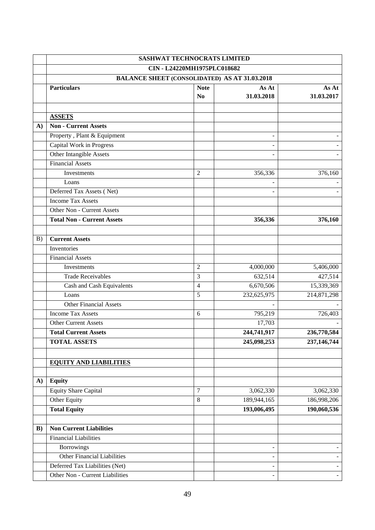|              | <b>SASHWAT TECHNOCRATS LIMITED</b> |                                                      |                          |                      |
|--------------|------------------------------------|------------------------------------------------------|--------------------------|----------------------|
|              | CIN - L24220MH1975PLC018682        |                                                      |                          |                      |
|              |                                    | <b>BALANCE SHEET (CONSOLIDATED) AS AT 31.03.2018</b> |                          |                      |
|              | <b>Particulars</b>                 | <b>Note</b>                                          | As At                    | As At                |
|              |                                    | N <sub>0</sub>                                       | 31.03.2018               | 31.03.2017           |
|              |                                    |                                                      |                          |                      |
|              | <b>ASSETS</b>                      |                                                      |                          |                      |
| $\mathbf{A}$ | <b>Non - Current Assets</b>        |                                                      |                          |                      |
|              | Property, Plant & Equipment        |                                                      | $\overline{\phantom{0}}$ |                      |
|              | Capital Work in Progress           |                                                      |                          |                      |
|              | Other Intangible Assets            |                                                      |                          |                      |
|              | <b>Financial Assets</b>            |                                                      |                          |                      |
|              | Investments                        | $\overline{2}$                                       | 356,336                  | 376,160              |
|              | Loans                              |                                                      | $\overline{\phantom{a}}$ |                      |
|              | Deferred Tax Assets (Net)          |                                                      |                          |                      |
|              | <b>Income Tax Assets</b>           |                                                      |                          |                      |
|              | Other Non - Current Assets         |                                                      |                          |                      |
|              | <b>Total Non - Current Assets</b>  |                                                      | 356,336                  | 376,160              |
|              |                                    |                                                      |                          |                      |
| B)           | <b>Current Assets</b>              |                                                      |                          |                      |
|              | Inventories                        |                                                      |                          |                      |
|              | <b>Financial Assets</b>            |                                                      |                          |                      |
|              | Investments                        | $\overline{2}$                                       | 4,000,000                | 5,406,000            |
|              | <b>Trade Receivables</b>           | 3                                                    | 632,514                  | 427,514              |
|              | Cash and Cash Equivalents          | $\overline{4}$                                       | 6,670,506                | 15,339,369           |
|              | Loans                              | 5                                                    | 232,625,975              | 214,871,298          |
|              | Other Financial Assets             |                                                      |                          |                      |
|              | <b>Income Tax Assets</b>           | 6                                                    | 795,219                  | $\overline{726,403}$ |
|              | <b>Other Current Assets</b>        |                                                      | 17,703                   |                      |
|              | <b>Total Current Assets</b>        |                                                      | 244,741,917              | 236,770,584          |
|              | <b>TOTAL ASSETS</b>                |                                                      | 245,098,253              | 237,146,744          |
|              |                                    |                                                      |                          |                      |
|              | <b>EQUITY AND LIABILITIES</b>      |                                                      |                          |                      |
|              |                                    |                                                      |                          |                      |
| $\mathbf{A}$ | <b>Equity</b>                      |                                                      |                          |                      |
|              | <b>Equity Share Capital</b>        | $\boldsymbol{7}$                                     | 3,062,330                | 3,062,330            |
|              | Other Equity                       | 8                                                    | 189,944,165              | 186,998,206          |
|              | <b>Total Equity</b>                |                                                      | 193,006,495              | 190,060,536          |
|              |                                    |                                                      |                          |                      |
| $\bf{B}$ )   | <b>Non Current Liabilities</b>     |                                                      |                          |                      |
|              | <b>Financial Liabilities</b>       |                                                      |                          |                      |
|              | <b>Borrowings</b>                  |                                                      | $\overline{a}$           |                      |
|              | <b>Other Financial Liabilities</b> |                                                      | $\frac{1}{2}$            |                      |
|              | Deferred Tax Liabilities (Net)     |                                                      | $\overline{\phantom{0}}$ |                      |
|              | Other Non - Current Liabilities    |                                                      | $\blacksquare$           | $\overline{a}$       |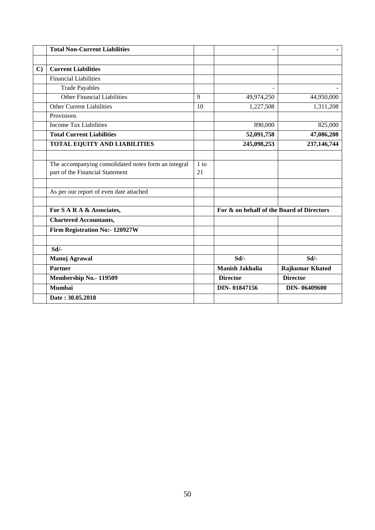|              | <b>Total Non-Current Liabilities</b>                 |        |                                           |                        |
|--------------|------------------------------------------------------|--------|-------------------------------------------|------------------------|
|              |                                                      |        |                                           |                        |
| $\mathbf{C}$ | <b>Current Liabilities</b>                           |        |                                           |                        |
|              | <b>Financial Liabilities</b>                         |        |                                           |                        |
|              | <b>Trade Payables</b>                                |        |                                           |                        |
|              | Other Financial Liabilities                          | 9      | 49,974,250                                | 44,950,000             |
|              | <b>Other Current Liabilities</b>                     | 10     | 1,227,508                                 | 1,311,208              |
|              | Provisions                                           |        |                                           |                        |
|              | <b>Income Tax Liabilities</b>                        |        | 890,000                                   | 825,000                |
|              | <b>Total Current Liabilities</b>                     |        | 52,091,758                                | 47,086,208             |
|              | <b>TOTAL EQUITY AND LIABILITIES</b>                  |        | 245,098,253                               | 237,146,744            |
|              |                                                      |        |                                           |                        |
|              | The accompanying consolidated notes form an integral | $1$ to |                                           |                        |
|              | part of the Financial Statement                      | 21     |                                           |                        |
|              |                                                      |        |                                           |                        |
|              | As per our report of even date attached              |        |                                           |                        |
|              |                                                      |        |                                           |                        |
|              | For S A R A & Associates,                            |        | For & on behalf of the Board of Directors |                        |
|              | <b>Chartered Accountants,</b>                        |        |                                           |                        |
|              | Firm Registration No:- 120927W                       |        |                                           |                        |
|              |                                                      |        |                                           |                        |
|              | Sd/-                                                 |        |                                           |                        |
|              | Manoj Agrawal                                        |        | Sd/-                                      | Sd/-                   |
|              | <b>Partner</b>                                       |        | <b>Manish Jakhalia</b>                    | <b>Rajkumar Khatod</b> |
|              | Membership No.- 119509                               |        | <b>Director</b>                           | <b>Director</b>        |
|              | <b>Mumbai</b>                                        |        | DIN-01847156                              | DIN-06409600           |
|              | Date: 30.05.2018                                     |        |                                           |                        |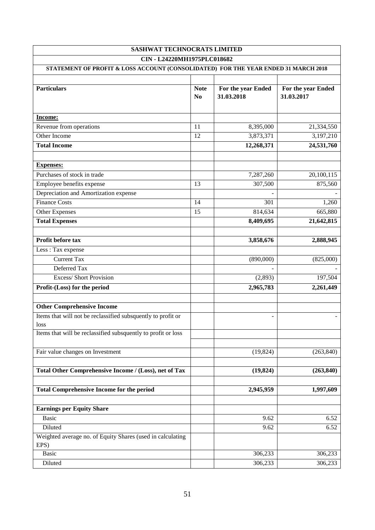| SASHWAT TECHNOCRATS LIMITED                                                        |                |                    |                    |
|------------------------------------------------------------------------------------|----------------|--------------------|--------------------|
| CIN - L24220MH1975PLC018682                                                        |                |                    |                    |
| STATEMENT OF PROFIT & LOSS ACCOUNT (CONSOLIDATED) FOR THE YEAR ENDED 31 MARCH 2018 |                |                    |                    |
|                                                                                    |                |                    |                    |
| <b>Particulars</b>                                                                 | <b>Note</b>    | For the year Ended | For the year Ended |
|                                                                                    | N <sub>0</sub> | 31.03.2018         | 31.03.2017         |
|                                                                                    |                |                    |                    |
| Income:                                                                            |                |                    |                    |
| Revenue from operations                                                            | 11             | 8,395,000          | 21,334,550         |
| Other Income                                                                       | 12             | 3,873,371          | 3,197,210          |
| <b>Total Income</b>                                                                |                | 12,268,371         | 24,531,760         |
|                                                                                    |                |                    |                    |
| <b>Expenses:</b>                                                                   |                |                    |                    |
| Purchases of stock in trade                                                        |                | 7,287,260          | 20,100,115         |
| Employee benefits expense                                                          | 13             | 307,500            | 875,560            |
| Depreciation and Amortization expense                                              |                |                    |                    |
| <b>Finance Costs</b>                                                               | 14             | 301                | 1,260              |
| Other Expenses                                                                     | 15             | 814,634            | 665,880            |
| <b>Total Expenses</b>                                                              |                | 8,409,695          | 21,642,815         |
|                                                                                    |                |                    |                    |
| Profit before tax                                                                  |                | 3,858,676          | 2,888,945          |
| Less: Tax expense                                                                  |                |                    |                    |
| <b>Current Tax</b>                                                                 |                | (890,000)          | (825,000)          |
| Deferred Tax                                                                       |                |                    |                    |
| <b>Excess/Short Provision</b>                                                      |                | (2,893)            | 197,504            |
| Profit-(Loss) for the period                                                       |                | 2,965,783          | 2,261,449          |
|                                                                                    |                |                    |                    |
| <b>Other Comprehensive Income</b>                                                  |                |                    |                    |
| Items that will not be reclassified subsquently to profit or                       |                | $\blacksquare$     |                    |
| loss                                                                               |                |                    |                    |
| Items that will be reclassified subsquently to profit or loss                      |                |                    |                    |
|                                                                                    |                |                    |                    |
| Fair value changes on Investment                                                   |                | (19, 824)          | (263, 840)         |
|                                                                                    |                |                    |                    |
| Total Other Comprehensive Income / (Loss), net of Tax                              |                | (19, 824)          | (263, 840)         |
|                                                                                    |                |                    |                    |
| <b>Total Comprehensive Income for the period</b>                                   |                | 2,945,959          | 1,997,609          |
|                                                                                    |                |                    |                    |
| <b>Earnings per Equity Share</b>                                                   |                |                    |                    |
| <b>Basic</b>                                                                       |                | 9.62               | 6.52               |
| Diluted                                                                            |                | 9.62               | 6.52               |
| Weighted average no. of Equity Shares (used in calculating                         |                |                    |                    |
| EPS)                                                                               |                |                    |                    |
| <b>Basic</b>                                                                       |                | 306,233            | 306,233            |
| Diluted                                                                            |                | 306,233            | 306,233            |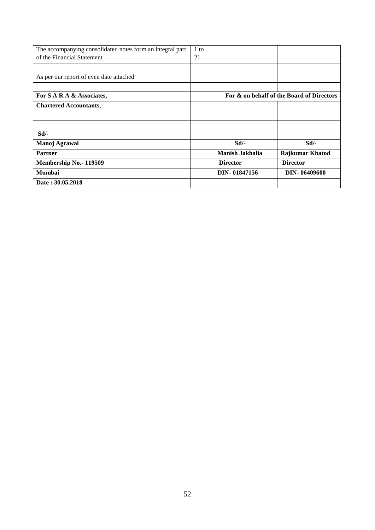| The accompanying consolidated notes form an integral part | 1 to |                 |                                           |
|-----------------------------------------------------------|------|-----------------|-------------------------------------------|
| of the Financial Statement                                | 21   |                 |                                           |
|                                                           |      |                 |                                           |
| As per our report of even date attached                   |      |                 |                                           |
|                                                           |      |                 |                                           |
| For S A R A & Associates,                                 |      |                 | For & on behalf of the Board of Directors |
| <b>Chartered Accountants,</b>                             |      |                 |                                           |
|                                                           |      |                 |                                           |
|                                                           |      |                 |                                           |
| Sd                                                        |      |                 |                                           |
| Manoj Agrawal                                             |      | $Sd$ .          | Sd                                        |
| <b>Partner</b>                                            |      | Manish Jakhalia | <b>Rajkumar Khatod</b>                    |
| Membership No.- 119509                                    |      | <b>Director</b> | <b>Director</b>                           |
| <b>Mumbai</b>                                             |      | DIN-01847156    | DIN-06409600                              |
| Date: 30.05.2018                                          |      |                 |                                           |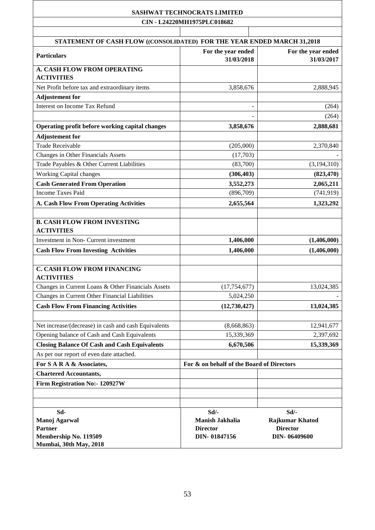**CIN - L24220MH1975PLC018682**

Т

| STATEMENT OF CASH FLOW ((CONSOLIDATED) FOR THE YEAR ENDED MARCH 31,2018 |                                           |                                  |
|-------------------------------------------------------------------------|-------------------------------------------|----------------------------------|
| <b>Particulars</b>                                                      | For the year ended<br>31/03/2018          | For the year ended<br>31/03/2017 |
| <b>A. CASH FLOW FROM OPERATING</b>                                      |                                           |                                  |
| <b>ACTIVITIES</b>                                                       |                                           |                                  |
| Net Profit before tax and extraordinary items                           | 3,858,676                                 | 2,888,945                        |
| <b>Adjustement for</b>                                                  |                                           |                                  |
| <b>Interest on Income Tax Refund</b>                                    |                                           | (264)                            |
|                                                                         |                                           | (264)                            |
| Operating profit before working capital changes                         | 3,858,676                                 | 2,888,681                        |
| <b>Adjustement for</b>                                                  |                                           |                                  |
| <b>Trade Receivable</b>                                                 | (205,000)                                 | 2,370,840                        |
| Changes in Other Financials Assets                                      | (17,703)                                  |                                  |
| Trade Payables & Other Current Liabilities                              | (83,700)                                  | (3,194,310)                      |
| <b>Working Capital changes</b>                                          | (306, 403)                                | (823, 470)                       |
| <b>Cash Generated From Operation</b>                                    | 3,552,273                                 | 2,065,211                        |
| <b>Income Taxes Paid</b>                                                | (896,709)                                 | (741, 919)                       |
| <b>A. Cash Flow From Operating Activities</b>                           | 2,655,564                                 | 1,323,292                        |
|                                                                         |                                           |                                  |
| <b>B. CASH FLOW FROM INVESTING</b><br><b>ACTIVITIES</b>                 |                                           |                                  |
| Investment in Non- Current investment                                   | 1,406,000                                 | (1,406,000)                      |
| <b>Cash Flow From Investing Activities</b>                              | 1,406,000                                 | (1,406,000)                      |
| <b>C. CASH FLOW FROM FINANCING</b><br><b>ACTIVITIES</b>                 |                                           |                                  |
| Changes in Current Loans & Other Financials Assets                      | (17, 754, 677)                            | 13,024,385                       |
| Changes in Current Other Financial Liabilities                          | 5,024,250                                 |                                  |
| <b>Cash Flow From Financing Activities</b>                              | (12,730,427)                              | 13,024,385                       |
| Net increase/(decrease) in cash and cash Equivalents                    | (8,668,863)                               | 12,941,677                       |
| Opening balance of Cash and Cash Equivalents                            | 15,339,369                                | 2,397,692                        |
| <b>Closing Balance Of Cash and Cash Equivalents</b>                     | 6,670,506                                 | 15,339,369                       |
| As per our report of even date attached.                                |                                           |                                  |
| For S A R A & Associates,                                               | For & on behalf of the Board of Directors |                                  |
| <b>Chartered Accountants,</b>                                           |                                           |                                  |
| Firm Registration No:- 120927W                                          |                                           |                                  |
|                                                                         |                                           |                                  |
|                                                                         |                                           |                                  |
| Sd-                                                                     | $Sd$ /-                                   | Sd/-                             |
| Manoj Agarwal                                                           | Manish Jakhalia                           | <b>Rajkumar Khatod</b>           |
| <b>Partner</b>                                                          | <b>Director</b>                           | <b>Director</b>                  |
| Membership No. 119509                                                   | DIN-01847156                              | DIN-06409600                     |
| Mumbai, 30th May, 2018                                                  |                                           |                                  |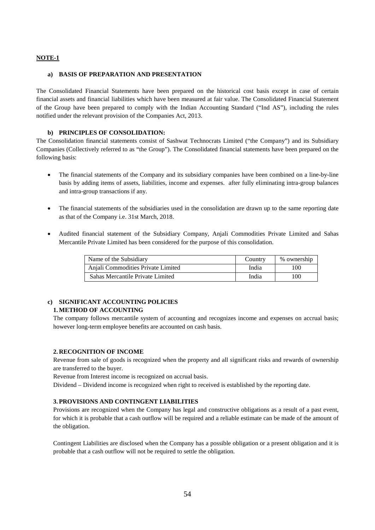#### **NOTE-1**

#### **a) BASIS OF PREPARATION AND PRESENTATION**

The Consolidated Financial Statements have been prepared on the historical cost basis except in case of certain financial assets and financial liabilities which have been measured at fair value. The Consolidated Financial Statement of the Group have been prepared to comply with the Indian Accounting Standard ("Ind AS"), including the rules notified under the relevant provision of the Companies Act, 2013.

#### **b) PRINCIPLES OF CONSOLIDATION:**

The Consolidation financial statements consist of Sashwat Technocrats Limited ("the Company") and its Subsidiary Companies (Collectively referred to as "the Group"). The Consolidated financial statements have been prepared on the following basis:

- The financial statements of the Company and its subsidiary companies have been combined on a line-by-line basis by adding items of assets, liabilities, income and expenses. after fully eliminating intra-group balances and intra-group transactions if any.
- The financial statements of the subsidiaries used in the consolidation are drawn up to the same reporting date as that of the Company i.e. 31st March, 2018.
- Audited financial statement of the Subsidiary Company, Anjali Commodities Private Limited and Sahas Mercantile Private Limited has been considered for the purpose of this consolidation.

| Name of the Subsidiary             | Country | % ownership |
|------------------------------------|---------|-------------|
| Anjali Commodities Private Limited | India   | 100         |
| Sahas Mercantile Private Limited   | India   | 100         |

#### **c) SIGNIFICANT ACCOUNTING POLICIES 1.METHOD OF ACCOUNTING**

The company follows mercantile system of accounting and recognizes income and expenses on accrual basis; however long-term employee benefits are accounted on cash basis.

#### **2. RECOGNITION OF INCOME**

Revenue from sale of goods is recognized when the property and all significant risks and rewards of ownership are transferred to the buyer.

Revenue from Interest income is recognized on accrual basis.

Dividend – Dividend income is recognized when right to received is established by the reporting date.

#### **3.PROVISIONS AND CONTINGENT LIABILITIES**

Provisions are recognized when the Company has legal and constructive obligations as a result of a past event, for which it is probable that a cash outflow will be required and a reliable estimate can be made of the amount of the obligation.

Contingent Liabilities are disclosed when the Company has a possible obligation or a present obligation and it is probable that a cash outflow will not be required to settle the obligation.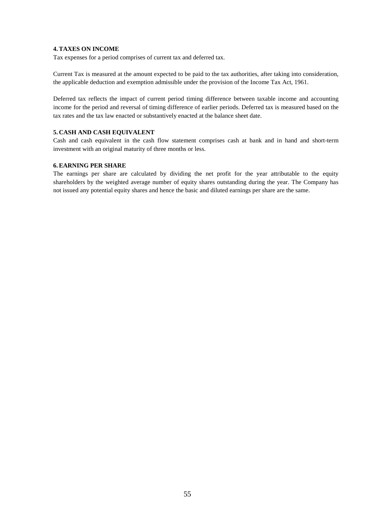#### **4.TAXES ON INCOME**

Tax expenses for a period comprises of current tax and deferred tax.

Current Tax is measured at the amount expected to be paid to the tax authorities, after taking into consideration, the applicable deduction and exemption admissible under the provision of the Income Tax Act, 1961.

Deferred tax reflects the impact of current period timing difference between taxable income and accounting income for the period and reversal of timing difference of earlier periods. Deferred tax is measured based on the tax rates and the tax law enacted or substantively enacted at the balance sheet date.

#### **5. CASH AND CASH EQUIVALENT**

Cash and cash equivalent in the cash flow statement comprises cash at bank and in hand and short-term investment with an original maturity of three months or less.

#### **6.EARNING PER SHARE**

The earnings per share are calculated by dividing the net profit for the year attributable to the equity shareholders by the weighted average number of equity shares outstanding during the year. The Company has not issued any potential equity shares and hence the basic and diluted earnings per share are the same.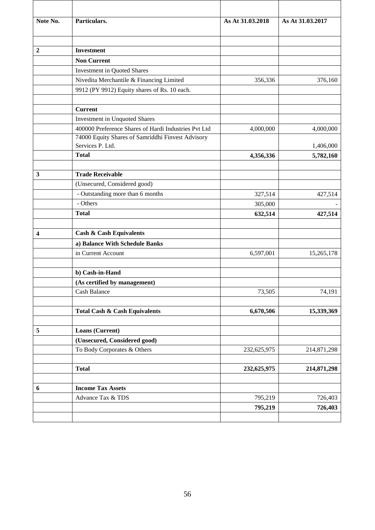| Note No.                | Particulars.                                         | As At 31.03.2018 | As At 31.03.2017 |
|-------------------------|------------------------------------------------------|------------------|------------------|
| $\overline{2}$          | <b>Investment</b>                                    |                  |                  |
|                         | <b>Non Current</b>                                   |                  |                  |
|                         | <b>Investment in Quoted Shares</b>                   |                  |                  |
|                         | Nivedita Merchantile & Financing Limited             | 356,336          | 376,160          |
|                         | 9912 (PY 9912) Equity shares of Rs. 10 each.         |                  |                  |
|                         | <b>Current</b>                                       |                  |                  |
|                         | <b>Investment in Unquoted Shares</b>                 |                  |                  |
|                         | 400000 Preference Shares of Hardi Industries Pvt Ltd | 4,000,000        | 4,000,000        |
|                         | 74000 Equity Shares of Samriddhi Finvest Advisory    |                  |                  |
|                         | Services P. Ltd.                                     |                  | 1,406,000        |
|                         | <b>Total</b>                                         | 4,356,336        | 5,782,160        |
| 3                       | <b>Trade Receivable</b>                              |                  |                  |
|                         | (Unsecured, Considered good)                         |                  |                  |
|                         | - Outstanding more than 6 months                     | 327,514          | 427,514          |
|                         | - Others                                             | 305,000          |                  |
|                         | <b>Total</b>                                         | 632,514          | 427,514          |
| $\overline{\mathbf{4}}$ | <b>Cash &amp; Cash Equivalents</b>                   |                  |                  |
|                         | a) Balance With Schedule Banks                       |                  |                  |
|                         | in Current Account                                   | 6,597,001        | 15,265,178       |
|                         | b) Cash-in-Hand                                      |                  |                  |
|                         | (As certified by management)                         |                  |                  |
|                         | Cash Balance                                         | 73,505           | 74,191           |
|                         | <b>Total Cash &amp; Cash Equivalents</b>             | 6,670,506        | 15,339,369       |
| 5                       | Loans (Current)                                      |                  |                  |
|                         | (Unsecured, Considered good)                         |                  |                  |
|                         | To Body Corporates & Others                          | 232,625,975      | 214,871,298      |
|                         | <b>Total</b>                                         | 232,625,975      | 214,871,298      |
| $\boldsymbol{6}$        | <b>Income Tax Assets</b>                             |                  |                  |
|                         | Advance Tax & TDS                                    | 795,219          | 726,403          |
|                         |                                                      | 795,219          | 726,403          |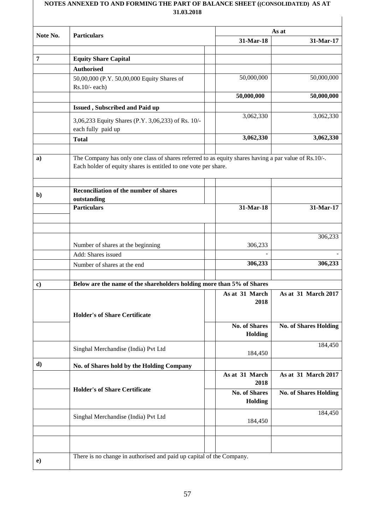#### **NOTES ANNEXED TO AND FORMING THE PART OF BALANCE SHEET ((CONSOLIDATED) AS AT 31.03.2018**

| Note No.           | <b>Particulars</b>                                                                                                                                                                                                               | As at                |                              |
|--------------------|----------------------------------------------------------------------------------------------------------------------------------------------------------------------------------------------------------------------------------|----------------------|------------------------------|
|                    |                                                                                                                                                                                                                                  | 31-Mar-18            | 31-Mar-17                    |
|                    |                                                                                                                                                                                                                                  |                      |                              |
| 7                  | <b>Equity Share Capital</b>                                                                                                                                                                                                      |                      |                              |
|                    | <b>Authorised</b>                                                                                                                                                                                                                |                      |                              |
|                    | 50,00,000 (P.Y. 50,00,000 Equity Shares of<br>$Rs.10/-$ each)                                                                                                                                                                    | 50,000,000           | 50,000,000                   |
|                    |                                                                                                                                                                                                                                  | 50,000,000           | 50,000,000                   |
|                    | Issued, Subscribed and Paid up                                                                                                                                                                                                   |                      |                              |
|                    | 3,06,233 Equity Shares (P.Y. 3,06,233) of Rs. 10/-<br>each fully paid up                                                                                                                                                         | 3,062,330            | 3,062,330                    |
|                    | <b>Total</b>                                                                                                                                                                                                                     | 3,062,330            | 3,062,330                    |
|                    |                                                                                                                                                                                                                                  |                      |                              |
| a)<br>$\mathbf{b}$ | The Company has only one class of shares referred to as equity shares having a par value of Rs.10/-.<br>Each holder of equity shares is entitled to one vote per share.<br>Reconciliation of the number of shares<br>outstanding |                      |                              |
|                    | <b>Particulars</b>                                                                                                                                                                                                               | 31-Mar-18            | 31-Mar-17                    |
|                    |                                                                                                                                                                                                                                  |                      |                              |
|                    |                                                                                                                                                                                                                                  |                      |                              |
|                    |                                                                                                                                                                                                                                  |                      | 306,233                      |
|                    | Number of shares at the beginning                                                                                                                                                                                                | 306,233              |                              |
|                    | Add: Shares issued                                                                                                                                                                                                               |                      |                              |
|                    | Number of shares at the end                                                                                                                                                                                                      | 306,233              | 306,233                      |
|                    |                                                                                                                                                                                                                                  |                      |                              |
| c)                 | Below are the name of the shareholders holding more than 5% of Shares                                                                                                                                                            |                      |                              |
|                    |                                                                                                                                                                                                                                  | As at 31 March       | As at 31 March 2017          |
|                    |                                                                                                                                                                                                                                  | 2018                 |                              |
|                    |                                                                                                                                                                                                                                  |                      |                              |
|                    | <b>Holder's of Share Certificate</b>                                                                                                                                                                                             |                      |                              |
|                    |                                                                                                                                                                                                                                  | <b>No. of Shares</b> | <b>No. of Shares Holding</b> |
|                    |                                                                                                                                                                                                                                  | Holding              |                              |
|                    | Singhal Merchandise (India) Pvt Ltd                                                                                                                                                                                              |                      | 184,450                      |
|                    |                                                                                                                                                                                                                                  | 184,450              |                              |
| d)                 | No. of Shares hold by the Holding Company                                                                                                                                                                                        |                      |                              |
|                    |                                                                                                                                                                                                                                  | As at 31 March       | As at 31 March 2017          |
|                    | <b>Holder's of Share Certificate</b>                                                                                                                                                                                             | 2018                 |                              |
|                    |                                                                                                                                                                                                                                  | <b>No. of Shares</b> | <b>No. of Shares Holding</b> |
|                    |                                                                                                                                                                                                                                  | <b>Holding</b>       |                              |
|                    | Singhal Merchandise (India) Pvt Ltd                                                                                                                                                                                              |                      | 184,450                      |
|                    |                                                                                                                                                                                                                                  | 184,450              |                              |
|                    |                                                                                                                                                                                                                                  |                      |                              |
|                    |                                                                                                                                                                                                                                  |                      |                              |
|                    | There is no change in authorised and paid up capital of the Company.                                                                                                                                                             |                      |                              |
| $\bf e)$           |                                                                                                                                                                                                                                  |                      |                              |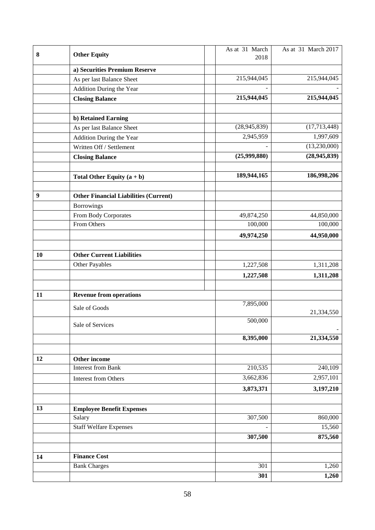| 8                |                                              | As at 31 March | As at 31 March 2017 |
|------------------|----------------------------------------------|----------------|---------------------|
|                  | <b>Other Equity</b>                          | 2018           |                     |
|                  | a) Securities Premium Reserve                |                |                     |
|                  | As per last Balance Sheet                    | 215,944,045    | 215,944,045         |
|                  | Addition During the Year                     |                |                     |
|                  | <b>Closing Balance</b>                       | 215,944,045    | 215,944,045         |
|                  |                                              |                |                     |
|                  | b) Retained Earning                          |                |                     |
|                  | As per last Balance Sheet                    | (28, 945, 839) | (17, 713, 448)      |
|                  | Addition During the Year                     | 2,945,959      | 1,997,609           |
|                  | Written Off / Settlement                     |                | (13,230,000)        |
|                  | <b>Closing Balance</b>                       | (25,999,880)   | (28, 945, 839)      |
|                  |                                              |                |                     |
|                  | Total Other Equity $(a + b)$                 | 189,944,165    | 186,998,206         |
|                  |                                              |                |                     |
| $\boldsymbol{9}$ | <b>Other Financial Liabilities (Current)</b> |                |                     |
|                  | <b>Borrowings</b>                            |                |                     |
|                  | From Body Corporates                         | 49,874,250     | 44,850,000          |
|                  | From Others                                  | 100,000        | 100,000             |
|                  |                                              | 49,974,250     | 44,950,000          |
|                  |                                              |                |                     |
| 10               | <b>Other Current Liabilities</b>             |                |                     |
|                  | Other Payables                               | 1,227,508      | 1,311,208           |
|                  |                                              | 1,227,508      | 1,311,208           |
|                  |                                              |                |                     |
| 11               | <b>Revenue from operations</b>               |                |                     |
|                  | Sale of Goods                                | 7,895,000      |                     |
|                  |                                              |                | 21,334,550          |
|                  | Sale of Services                             | 500,000        |                     |
|                  |                                              | 8,395,000      | 21,334,550          |
|                  |                                              |                |                     |
|                  |                                              |                |                     |
| 12               | Other income<br><b>Interest from Bank</b>    | 210,535        | 240,109             |
|                  |                                              | 3,662,836      |                     |
|                  | <b>Interest from Others</b>                  |                | 2,957,101           |
|                  |                                              | 3,873,371      | 3,197,210           |
|                  |                                              |                |                     |
| 13               | <b>Employee Benefit Expenses</b>             |                |                     |
|                  | Salary                                       | 307,500        | 860,000             |
|                  | <b>Staff Welfare Expenses</b>                |                | 15,560              |
|                  |                                              | 307,500        | 875,560             |
|                  |                                              |                |                     |
| 14               | <b>Finance Cost</b>                          |                |                     |
|                  | <b>Bank Charges</b>                          | 301            | 1,260               |
|                  |                                              | 301            | 1,260               |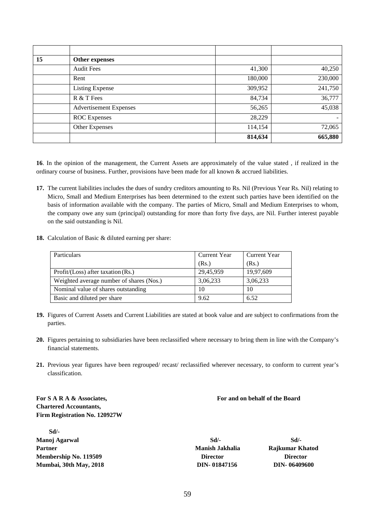| 15 | Other expenses                |         |         |
|----|-------------------------------|---------|---------|
|    | <b>Audit Fees</b>             | 41,300  | 40,250  |
|    | Rent                          | 180,000 | 230,000 |
|    | <b>Listing Expense</b>        | 309,952 | 241,750 |
|    | R & T Fees                    | 84,734  | 36,777  |
|    | <b>Advertisement Expenses</b> | 56,265  | 45,038  |
|    | <b>ROC</b> Expenses           | 28,229  |         |
|    | Other Expenses                | 114,154 | 72,065  |
|    |                               | 814,634 | 665,880 |

**16**. In the opinion of the management, the Current Assets are approximately of the value stated , if realized in the ordinary course of business. Further, provisions have been made for all known & accrued liabilities.

- **17.** The current liabilities includes the dues of sundry creditors amounting to Rs. Nil (Previous Year Rs. Nil) relating to Micro, Small and Medium Enterprises has been determined to the extent such parties have been identified on the basis of information available with the company. The parties of Micro, Small and Medium Enterprises to whom, the company owe any sum (principal) outstanding for more than forty five days, are Nil. Further interest payable on the said outstanding is Nil.
- **18.** Calculation of Basic & diluted earning per share:

| Particulars                              | Current Year | Current Year |
|------------------------------------------|--------------|--------------|
|                                          | (Rs.)        | (Rs.)        |
| $Profit / (Loss)$ after taxation $(Rs.)$ | 29,45,959    | 19,97,609    |
| Weighted average number of shares (Nos.) | 3,06,233     | 3,06,233     |
| Nominal value of shares outstanding      | 10           | 10           |
| Basic and diluted per share              | 9.62         | 6.52         |

- **19.** Figures of Current Assets and Current Liabilities are stated at book value and are subject to confirmations from the parties.
- **20.** Figures pertaining to subsidiaries have been reclassified where necessary to bring them in line with the Company's financial statements.
- **21.** Previous year figures have been regrouped/ recast/ reclassified wherever necessary, to conform to current year's classification.

**Chartered Accountants, Firm Registration No. 120927W**

 **Sd/- Manoj Agarwal Sd/- Sd/- Partner Manish Jakhalia Rajkumar Khatod Membership No. 119509 Director Director Mumbai, 30th May, 2018 DIN- [01847156](http://www.mca.gov.in/mcafoportal/companyLLPMasterData.do) DIN- [06409600](http://www.mca.gov.in/mcafoportal/companyLLPMasterData.do)**

**For S A R A & Associates, For and on behalf of the Board**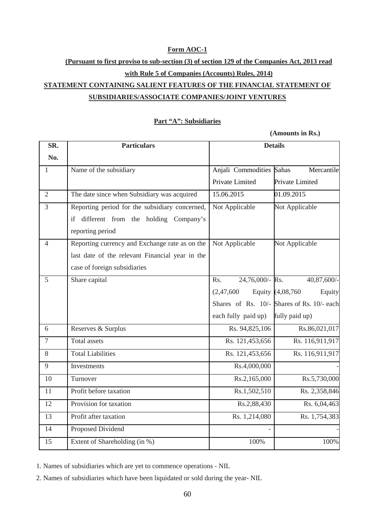#### **Form AOC-1**

## **(Pursuant to first proviso to sub-section (3) of section 129 of the Companies Act, 2013 read with Rule 5 of Companies (Accounts) Rules, 2014) STATEMENT CONTAINING SALIENT FEATURES OF THE FINANCIAL STATEMENT OF SUBSIDIARIES/ASSOCIATE COMPANIES/JOINT VENTURES**

#### **Part "A": Subsidiaries**

**(Amounts in Rs.)**

| SR.            | <b>Particulars</b>                              | <b>Details</b>           |                                            |
|----------------|-------------------------------------------------|--------------------------|--------------------------------------------|
| No.            |                                                 |                          |                                            |
| $\mathbf{1}$   | Name of the subsidiary                          | Anjali Commodities Sahas | Mercantile                                 |
|                |                                                 | Private Limited          | Private Limited                            |
| $\overline{2}$ | The date since when Subsidiary was acquired     | 15.06.2015               | 01.09.2015                                 |
| $\overline{3}$ | Reporting period for the subsidiary concerned,  | Not Applicable           | Not Applicable                             |
|                | different from the holding Company's<br>if      |                          |                                            |
|                | reporting period                                |                          |                                            |
| $\overline{4}$ | Reporting currency and Exchange rate as on the  | Not Applicable           | Not Applicable                             |
|                | last date of the relevant Financial year in the |                          |                                            |
|                | case of foreign subsidiaries                    |                          |                                            |
| 5              | Share capital                                   | 24,76,000/- Rs.<br>Rs.   | 40,87,600/-                                |
|                |                                                 | (2,47,600)               | Equity (4,08,760<br>Equity                 |
|                |                                                 |                          | Shares of Rs. 10/- Shares of Rs. 10/- each |
|                |                                                 | each fully paid up)      | fully paid up)                             |
| 6              | Reserves & Surplus                              | Rs. 94,825,106           | Rs.86,021,017                              |
| $\overline{7}$ | <b>Total assets</b>                             | Rs. 121,453,656          | Rs. 116,911,917                            |
| 8              | <b>Total Liabilities</b>                        | Rs. 121,453,656          | Rs. 116,911,917                            |
| 9              | Investments                                     | Rs.4,000,000             |                                            |
| 10             | Turnover                                        | Rs.2,165,000             | Rs.5,730,000                               |
| 11             | Profit before taxation                          | Rs.1,502,510             | Rs. 2,358,846                              |
| 12             | Provision for taxation                          | Rs.2,88,430              | Rs. 6,04,463                               |
| 13             | Profit after taxation                           | Rs. 1,214,080            | Rs. 1,754,383                              |
| 14             | Proposed Dividend                               |                          |                                            |
| 15             | Extent of Shareholding (in %)                   | 100%                     | 100%                                       |

1. Names of subsidiaries which are yet to commence operations - NIL

2. Names of subsidiaries which have been liquidated or sold during the year- NIL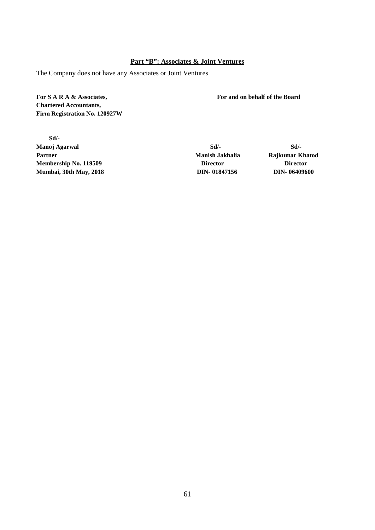#### **Part "B": Associates & Joint Ventures**

The Company does not have any Associates or Joint Ventures

**For S A R A & Associates, For and on behalf of the Board Chartered Accountants, Firm Registration No. 120927W**

 **Sd/- Manoj Agarwal Sd/-** Sd/- Sd/-**Partner Manish Jakhalia Rajkumar Khatod Membership No. 119509 Director Director Mumbai, 30th May, 2018 DIN- [01847156](http://www.mca.gov.in/mcafoportal/companyLLPMasterData.do) DIN- [06409600](http://www.mca.gov.in/mcafoportal/companyLLPMasterData.do)**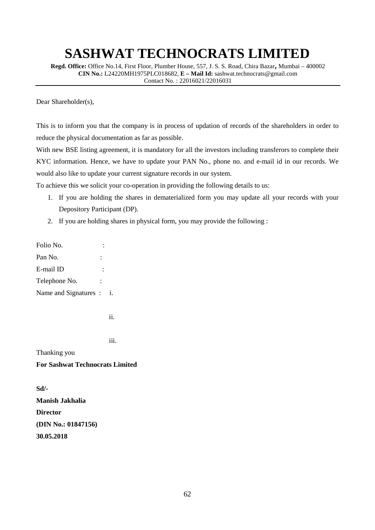**Regd. Office:** Office No.14, First Floor, Plumber House, 557, J. S. S. Road, Chira Bazar**,** Mumbai – 400002 **CIN No.:** L24220MH1975PLC018682, **E – Mail Id:** [sashwat.technocrats@gmail.com](mailto:sashwat.technocrats@gmail.com) Contact No. : 22016021/22016031

Dear Shareholder(s),

This is to inform you that the company is in process of updation of records of the shareholders in order to reduce the physical documentation as far as possible.

With new BSE listing agreement, it is mandatory for all the investors including transferors to complete their KYC information. Hence, we have to update your PAN No., phone no. and e-mail id in our records. We would also like to update your current signature records in our system.

To achieve this we solicit your co-operation in providing the following details to us:

- 1. If you are holding the shares in dematerialized form you may update all your records with your Depository Participant (DP).
- 2. If you are holding shares in physical form, you may provide the following :

Folio No. : Pan No. : E-mail ID : Telephone No. : Name and Signatures : i.

ii. Iii. Iii. Iii. Iii. Iii.

iii. **iii.** 

Thanking you

#### **For Sashwat Technocrats Limited**

**Sd/- Manish Jakhalia Director (DIN No.: 01847156) 30.05.2018**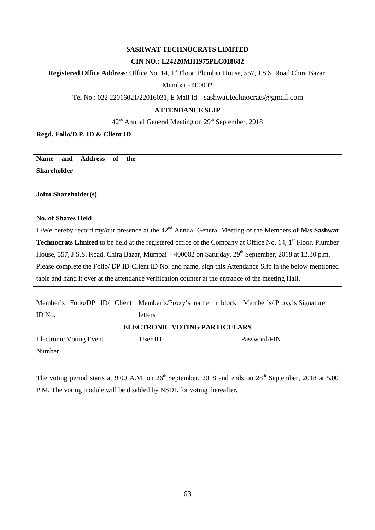#### **CIN NO.: L24220MH1975PLC018682**

Registered Office Address: Office No. 14, 1<sup>st</sup> Floor, Plumber House, 557, J.S.S. Road, Chira Bazar,

Mumbai - 400002

#### Tel No.: 022 22016021/22016031, E Mail Id – [sashwat.technocrats@gmail.com](mailto:sashwat.technocrats@gmail.com)

#### **ATTENDANCE SLIP**

#### 42<sup>nd</sup> Annual General Meeting on 29<sup>th</sup> September, 2018

| Regd. Folio/D.P. ID & Client ID                   |  |
|---------------------------------------------------|--|
|                                                   |  |
|                                                   |  |
| <b>Address</b><br>of<br>the<br><b>Name</b><br>and |  |
|                                                   |  |
| <b>Shareholder</b>                                |  |
|                                                   |  |
|                                                   |  |
|                                                   |  |
|                                                   |  |
|                                                   |  |
| <b>Joint Shareholder(s)</b>                       |  |
|                                                   |  |
|                                                   |  |
|                                                   |  |
|                                                   |  |
|                                                   |  |
| <b>No. of Shares Held</b>                         |  |
|                                                   |  |

I /We hereby record my/our presence at the 42nd Annual General Meeting of the Members of **M/s Sashwat Technocrats Limited** to be held at the registered office of the Company at Office No. 14, 1<sup>st</sup> Floor, Plumber House, 557, J.S.S. Road, Chira Bazar, Mumbai – 400002 on Saturday, 29<sup>th</sup> September, 2018 at 12.30 p.m. Please complete the Folio/ DP ID-Client ID No. and name, sign this Attendance Slip in the below mentioned table and hand it over at the attendance verification counter at the entrance of the meeting Hall.

|                                | Member's Folio/DP ID/ Client   Member's/Proxy's name in block   Member's/Proxy's Signature |  |
|--------------------------------|--------------------------------------------------------------------------------------------|--|
| I ID No.                       | letters                                                                                    |  |
| ELECTRONIC VOTING BARTICLE ARE |                                                                                            |  |

#### **ELECTRONIC VOTING PARTICULARS**

| <b>Electronic Voting Event</b> | User ID | Password/PIN |
|--------------------------------|---------|--------------|
| Number                         |         |              |
|                                |         |              |

The voting period starts at 9.00 A.M. on 26<sup>th</sup> September, 2018 and ends on 28<sup>th</sup> September, 2018 at 5.00 P.M. The voting module will be disabled by NSDL for voting thereafter.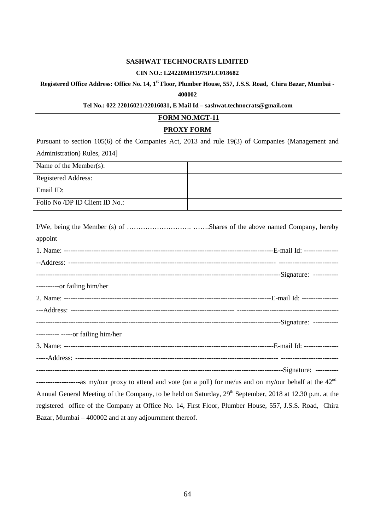#### **CIN NO.: L24220MH1975PLC018682**

#### **Registered Office Address: Office No. 14, 1st Floor, Plumber House, 557, J.S.S. Road, Chira Bazar, Mumbai -**

#### **400002**

#### **Tel No.: 022 22016021/22016031, E Mail Id – [sashwat.technocrats@gmail.com](mailto:sashwat.technocrats@gmail.com)**

#### **FORM NO.MGT-11**

#### **PROXY FORM**

Pursuant to section 105(6) of the Companies Act, 2013 and rule 19(3) of Companies (Management and Administration) Rules, 2014]

| Name of the Member(s):         |  |
|--------------------------------|--|
| <b>Registered Address:</b>     |  |
| Email $ID:$                    |  |
| Folio No /DP ID Client ID No.: |  |

| appoint                                                                                        |  |
|------------------------------------------------------------------------------------------------|--|
|                                                                                                |  |
|                                                                                                |  |
|                                                                                                |  |
| ----------or failing him/her                                                                   |  |
|                                                                                                |  |
|                                                                                                |  |
|                                                                                                |  |
| $------or failing him/her$                                                                     |  |
|                                                                                                |  |
|                                                                                                |  |
|                                                                                                |  |
| eq my/our provided and yote (on a poll) for ma/us and on my/our babalf at the 19 <sup>nd</sup> |  |

-------------------as my/our proxy to attend and vote (on a poll) for me/us and on my/our behalf at the 42nd Annual General Meeting of the Company, to be held on Saturday, 29<sup>th</sup> September, 2018 at 12.30 p.m. at the registered office of the Company at Office No. 14, First Floor, Plumber House, 557, J.S.S. Road, Chira Bazar, Mumbai – 400002 and at any adjournment thereof.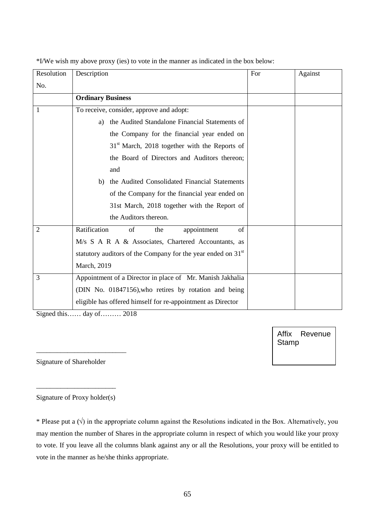| Resolution     | Description                                                              | For | Against |
|----------------|--------------------------------------------------------------------------|-----|---------|
| No.            |                                                                          |     |         |
|                | <b>Ordinary Business</b>                                                 |     |         |
| 1              | To receive, consider, approve and adopt:                                 |     |         |
|                | the Audited Standalone Financial Statements of<br>a)                     |     |         |
|                | the Company for the financial year ended on                              |     |         |
|                | $31st$ March, 2018 together with the Reports of                          |     |         |
|                | the Board of Directors and Auditors thereon;                             |     |         |
|                | and                                                                      |     |         |
|                | the Audited Consolidated Financial Statements<br>b)                      |     |         |
|                | of the Company for the financial year ended on                           |     |         |
|                | 31st March, 2018 together with the Report of                             |     |         |
|                | the Auditors thereon.                                                    |     |         |
| $\overline{2}$ | Ratification<br>of<br>appointment<br>of<br>the                           |     |         |
|                | M/s S A R A & Associates, Chartered Accountants, as                      |     |         |
|                | statutory auditors of the Company for the year ended on 31 <sup>st</sup> |     |         |
|                | March, 2019                                                              |     |         |
| 3              | Appointment of a Director in place of Mr. Manish Jakhalia                |     |         |
|                | (DIN No. 01847156), who retires by rotation and being                    |     |         |
|                | eligible has offered himself for re-appointment as Director              |     |         |

\*I/We wish my above proxy (ies) to vote in the manner as indicated in the box below:

Signed this…… day of……… 2018

Affix Revenue **Stamp** 

Signature of Shareholder

\_\_\_\_\_\_\_\_\_\_\_\_\_\_\_\_\_\_\_\_\_\_\_\_\_\_

\_\_\_\_\_\_\_\_\_\_\_\_\_\_\_\_\_\_\_\_\_\_\_ Signature of Proxy holder(s)

\* Please put a (√) in the appropriate column against the Resolutions indicated in the Box. Alternatively, you may mention the number of Shares in the appropriate column in respect of which you would like your proxy to vote. If you leave all the columns blank against any or all the Resolutions, your proxy will be entitled to vote in the manner as he/she thinks appropriate.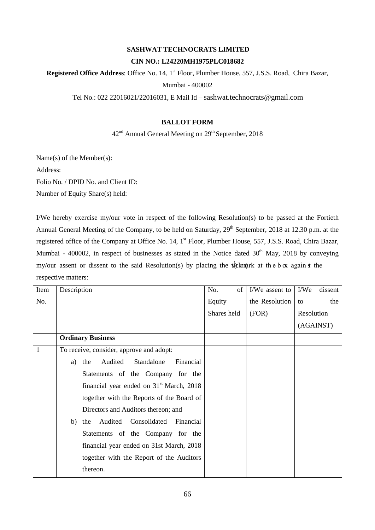## **SASHWAT TECHNOCRATS LIMITED CIN NO.: L24220MH1975PLC018682**

Registered Office Address: Office No. 14, 1<sup>st</sup> Floor, Plumber House, 557, J.S.S. Road, Chira Bazar, Mumbai - 400002

Tel No.: 022 22016021/22016031, E Mail Id – [sashwat.technocrats@gmail.com](mailto:sashwat.technocrats@gmail.com)

#### **BALLOT FORM**

### $42<sup>nd</sup>$  Annual General Meeting on  $29<sup>th</sup>$  September, 2018

Name(s) of the Member(s):

Address:

Folio No. / DPID No. and Client ID:

Number of Equity Share(s) held:

I/We hereby exercise my/our vote in respect of the following Resolution(s) to be passed at the Fortieth Annual General Meeting of the Company, to be held on Saturday, 29<sup>th</sup> September, 2018 at 12.30 p.m. at the registered office of the Company at Office No. 14, 1<sup>st</sup> Floor, Plumber House, 557, J.S.S. Road, Chira Bazar, Mumbai - 400002, in respect of businesses as stated in the Notice dated  $30<sup>th</sup>$  May, 2018 by conveying my/our assent or dissent to the said Resolution(s) by placing the tick mark at the b  $\alpha$  again st the respective matters:

| Item | Description                                     | No.<br>οf   | I/We assent to | I/We<br>dissent |
|------|-------------------------------------------------|-------------|----------------|-----------------|
| No.  |                                                 | Equity      | the Resolution | the<br>to       |
|      |                                                 | Shares held | (FOR)          | Resolution      |
|      |                                                 |             |                | (AGAINST)       |
|      | <b>Ordinary Business</b>                        |             |                |                 |
| 1    | To receive, consider, approve and adopt:        |             |                |                 |
|      | Standalone<br>Financial<br>Audited<br>the<br>a) |             |                |                 |
|      | Statements of the Company for the               |             |                |                 |
|      | financial year ended on $31st$ March, 2018      |             |                |                 |
|      | together with the Reports of the Board of       |             |                |                 |
|      | Directors and Auditors thereon; and             |             |                |                 |
|      | Audited Consolidated<br>Financial<br>b)<br>the  |             |                |                 |
|      | Statements of the Company for the               |             |                |                 |
|      | financial year ended on 31st March, 2018        |             |                |                 |
|      | together with the Report of the Auditors        |             |                |                 |
|      | thereon.                                        |             |                |                 |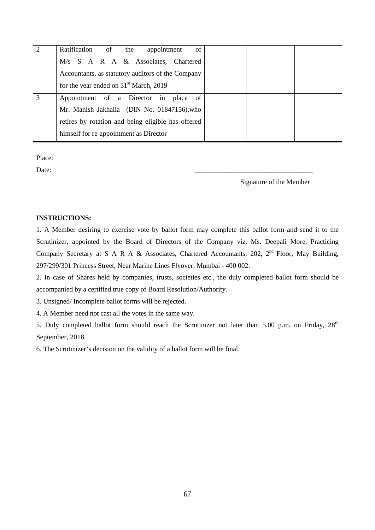| Ratification of the<br>of<br>appointment           |  |
|----------------------------------------------------|--|
| M/s S A R A & Associates, Chartered                |  |
| Accountants, as statutory auditors of the Company  |  |
| for the year ended on 31 <sup>st</sup> March, 2019 |  |
| Appointment of a Director in<br>place<br>- of      |  |
| Mr. Manish Jakhalia (DIN No. 01847156), who        |  |
| retires by rotation and being eligible has offered |  |
| himself for re-appointment as Director             |  |

Place:

Date: 2008. 2010. 2010. 2010. 2010. 2010. 2010. 2010. 2010. 2010. 2010. 2010. 2010. 2010. 2010. 2010. 2010. 20

Signature of the Member

#### **INSTRUCTIONS:**

1. A Member desiring to exercise vote by ballot form may complete this ballot form and send it to the Scrutinizer, appointed by the Board of Directors of the Company viz. Ms. Deepali More, Practicing Company Secretary at S A R A & Associates, Chartered Accountants, 202,  $2^{nd}$  Floor, May Building, 297/299/301 Princess Street, Near Marine Lines Flyover, Mumbai - 400 002.

2. In case of Shares held by companies, trusts, societies etc., the duly completed ballot form should be accompanied by a certified true copy of Board Resolution/Authority.

3. Unsigned/ Incomplete ballot forms will be rejected.

4. A Member need not cast all the votes in the same way.

5. Duly completed ballot form should reach the Scrutinizer not later than 5.00 p.m. on Friday, 28<sup>th</sup> September, 2018.

6. The Scrutinizer's decision on the validity of a ballot form will be final.